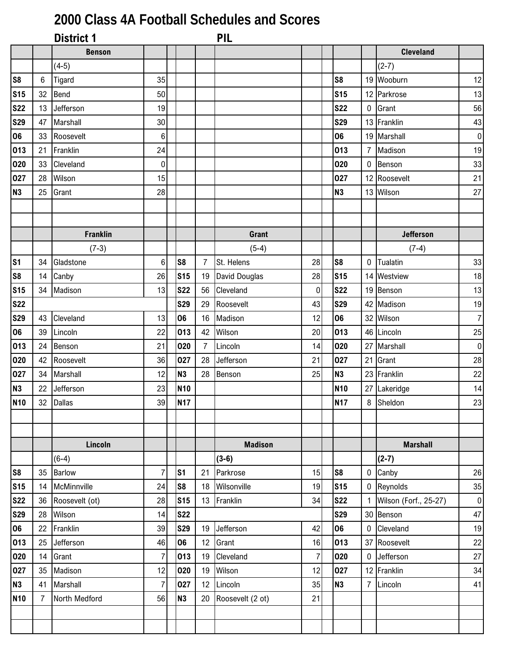## **2000 Class 4A Football Schedules and Scores**

|                 |                | <b>District 1</b> |                |                |                | <b>PIL</b>           |                |                |                  |                       |                |
|-----------------|----------------|-------------------|----------------|----------------|----------------|----------------------|----------------|----------------|------------------|-----------------------|----------------|
|                 |                | <b>Benson</b>     |                |                |                |                      |                |                |                  | <b>Cleveland</b>      |                |
|                 |                | $(4-5)$           |                |                |                |                      |                |                |                  | $(2-7)$               |                |
| S <sub>8</sub>  | $6\phantom{1}$ | Tigard            | 35             |                |                |                      |                | S <sub>8</sub> |                  | 19 Wooburn            | 12             |
| S <sub>15</sub> | 32             | <b>Bend</b>       | 50             |                |                |                      |                | <b>S15</b>     |                  | 12 Parkrose           | 13             |
| <b>S22</b>      | 13             | Jefferson         | 19             |                |                |                      |                | <b>S22</b>     | $\pmb{0}$        | Grant                 | 56             |
| <b>S29</b>      | 47             | Marshall          | 30             |                |                |                      |                | <b>S29</b>     |                  | 13 Franklin           | 43             |
| 06              | 33             | Roosevelt         | 6              |                |                |                      |                | 06             |                  | 19 Marshall           | $\overline{0}$ |
| 013             | 21             | Franklin          | 24             |                |                |                      |                | 013            | $\overline{7}$   | Madison               | 19             |
| 020             | 33             | Cleveland         | 0              |                |                |                      |                | 020            | $\mathbf 0$      | Benson                | 33             |
| 027             | 28             | Wilson            | 15             |                |                |                      |                | 027            |                  | 12 Roosevelt          | 21             |
| <b>N3</b>       | 25             | Grant             | 28             |                |                |                      |                | <b>N3</b>      |                  | 13 Wilson             | 27             |
|                 |                |                   |                |                |                |                      |                |                |                  |                       |                |
|                 |                |                   |                |                |                |                      |                |                |                  |                       |                |
|                 |                | <b>Franklin</b>   |                |                |                | Grant                |                |                |                  | <b>Jefferson</b>      |                |
|                 |                | $(7-3)$           |                |                |                | $(5-4)$              |                |                |                  | $(7-4)$               |                |
| S <sub>1</sub>  | 34             | Gladstone         | 6              | S <sub>8</sub> | $\overline{7}$ | St. Helens           | 28             | S <sub>8</sub> | $\boldsymbol{0}$ | Tualatin              | 33             |
| S <sub>8</sub>  | 14             | Canby             | 26             | <b>S15</b>     | 19             | <b>David Douglas</b> | 28             | <b>S15</b>     |                  | 14 Westview           | 18             |
| <b>S15</b>      | 34             | Madison           | 13             | <b>S22</b>     | 56             | Cleveland            | $\pmb{0}$      | <b>S22</b>     |                  | 19 Benson             | 13             |
| <b>S22</b>      |                |                   |                | <b>S29</b>     | 29             | Roosevelt            | 43             | <b>S29</b>     |                  | 42 Madison            | 19             |
| <b>S29</b>      | 43             | Cleveland         | 13             | 06             | 16             | Madison              | 12             | 06             |                  | 32 Wilson             | $\overline{7}$ |
| 06              | 39             | Lincoln           | 22             | 013            | 42             | Wilson               | 20             | 013            |                  | 46 Lincoln            | 25             |
| 013             | 24             | Benson            | 21             | 020            | $\overline{7}$ | Lincoln              | 14             | 020            | 27               | Marshall              | $\overline{0}$ |
| 020             | 42             | Roosevelt         | 36             | 027            | 28             | Jefferson            | 21             | 027            | 21               | Grant                 | 28             |
| 027             | 34             | Marshall          | 12             | <b>N3</b>      | 28             | Benson               | 25             | <b>N3</b>      |                  | 23 Franklin           | 22             |
| <b>N3</b>       | 22             | Jefferson         | 23             | <b>N10</b>     |                |                      |                | <b>N10</b>     |                  | 27 Lakeridge          | 14             |
| <b>N10</b>      |                | 32 Dallas         | 39             | <b>N17</b>     |                |                      |                | <b>N17</b>     |                  | 8 Sheldon             | 23             |
|                 |                |                   |                |                |                |                      |                |                |                  |                       |                |
|                 |                |                   |                |                |                |                      |                |                |                  |                       |                |
|                 |                | Lincoln           |                |                |                | <b>Madison</b>       |                |                |                  | <b>Marshall</b>       |                |
|                 |                | $(6-4)$           |                |                |                | $(3-6)$              |                |                |                  | $(2-7)$               |                |
| S <sub>8</sub>  | 35             | <b>Barlow</b>     | $\overline{7}$ | S <sub>1</sub> | 21             | Parkrose             | 15             | S <sub>8</sub> | 0                | Canby                 | 26             |
| <b>S15</b>      | 14             | McMinnville       | 24             | S <sub>8</sub> | 18             | Wilsonville          | 19             | <b>S15</b>     | $\mathbf 0$      | Reynolds              | 35             |
| <b>S22</b>      | 36             | Roosevelt (ot)    | 28             | <b>S15</b>     |                | 13 Franklin          | 34             | <b>S22</b>     |                  | Wilson (Forf., 25-27) | $\overline{0}$ |
| <b>S29</b>      | 28             | Wilson            | 14             | <b>S22</b>     |                |                      |                | <b>S29</b>     |                  | 30 Benson             | 47             |
| 06              | 22             | Franklin          | 39             | <b>S29</b>     | 19             | Jefferson            | 42             | 06             | $\mathbf 0$      | Cleveland             | 19             |
| 013             | 25             | Jefferson         | 46             | 06             | 12             | Grant                | 16             | 013            |                  | 37 Roosevelt          | 22             |
| 020             | 14             | Grant             | $\overline{7}$ | 013            | 19             | Cleveland            | $\overline{7}$ | 020            | $\mathbf 0$      | Jefferson             | 27             |
| 027             | 35             | Madison           | 12             | 020            | 19             | Wilson               | 12             | 027            |                  | 12 Franklin           | 34             |
| N3              | 41             | Marshall          | $\overline{7}$ | 027            |                | 12 Lincoln           | 35             | <b>N3</b>      | $\overline{7}$   | Lincoln               | 41             |
| <b>N10</b>      | $\overline{7}$ | North Medford     | 56             | <b>N3</b>      | 20             | Roosevelt (2 ot)     | 21             |                |                  |                       |                |
|                 |                |                   |                |                |                |                      |                |                |                  |                       |                |
|                 |                |                   |                |                |                |                      |                |                |                  |                       |                |
|                 |                |                   |                |                |                |                      |                |                |                  |                       |                |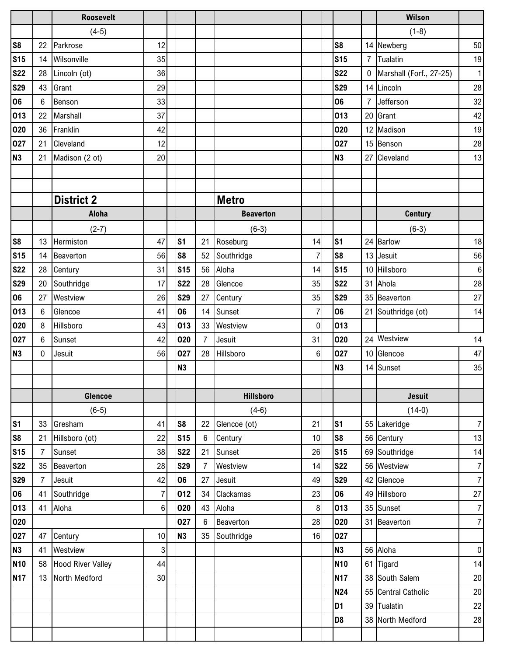|                |                | <b>Roosevelt</b>         |                  |                |                |                  |                |                 |                | <b>Wilson</b>           |                 |
|----------------|----------------|--------------------------|------------------|----------------|----------------|------------------|----------------|-----------------|----------------|-------------------------|-----------------|
|                |                | $(4-5)$                  |                  |                |                |                  |                |                 |                | $(1-8)$                 |                 |
| S <sub>8</sub> | 22             | Parkrose                 | 12               |                |                |                  |                | S <sub>8</sub>  |                | 14 Newberg              | 50              |
| <b>S15</b>     | 14             | Wilsonville              | 35               |                |                |                  |                | <b>S15</b>      | $\overline{7}$ | Tualatin                | 19              |
| <b>S22</b>     | 28             | Lincoln (ot)             | 36               |                |                |                  |                | <b>S22</b>      | 0              | Marshall (Forf., 27-25) | 1               |
| <b>S29</b>     | 43             | Grant                    | 29               |                |                |                  |                | <b>S29</b>      |                | 14 Lincoln              | 28              |
| 06             | 6              | Benson                   | 33               |                |                |                  |                | 06              | $\overline{7}$ | Jefferson               | 32              |
| 013            | 22             | Marshall                 | 37               |                |                |                  |                | 013             | 20             | Grant                   | 42              |
| 020            | 36             | Franklin                 | 42               |                |                |                  |                | 020             | 12             | Madison                 | 19              |
| 027            | 21             | Cleveland                | 12               |                |                |                  |                | 027             | 15             | Benson                  | 28              |
| N3             | 21             | Madison (2 ot)           | 20               |                |                |                  |                | <b>N3</b>       | 27             | Cleveland               | 13              |
|                |                |                          |                  |                |                |                  |                |                 |                |                         |                 |
|                |                |                          |                  |                |                |                  |                |                 |                |                         |                 |
|                |                | <b>District 2</b>        |                  |                |                | <b>Metro</b>     |                |                 |                |                         |                 |
|                |                | Aloha                    |                  |                |                | <b>Beaverton</b> |                |                 |                | <b>Century</b>          |                 |
|                |                | $(2-7)$                  |                  |                |                | $(6-3)$          |                |                 |                | $(6-3)$                 |                 |
| S <sub>8</sub> | 13             | Hermiston                | 47               | S <sub>1</sub> | 21             | Roseburg         | 14             | S <sub>1</sub>  | 24             | <b>Barlow</b>           | 18              |
| <b>S15</b>     | 14             | Beaverton                | 56               | S <sub>8</sub> | 52             | Southridge       | $\overline{7}$ | S <sub>8</sub>  | 13             | Jesuit                  | 56              |
| <b>S22</b>     | 28             | Century                  | 31               | <b>S15</b>     | 56             | Aloha            | 14             | S <sub>15</sub> |                | 10 Hillsboro            | $\,6\,$         |
| <b>S29</b>     | 20             | Southridge               | 17               | <b>S22</b>     | 28             | Glencoe          | 35             | <b>S22</b>      | 31             | Ahola                   | 28              |
| 06             | 27             | Westview                 | 26               | <b>S29</b>     | 27             | Century          | 35             | <b>S29</b>      | 35             | Beaverton               | 27              |
| 013            | 6              | Glencoe                  | 41               | 06             | 14             | Sunset           | $\overline{7}$ | 06              | 21             | Southridge (ot)         | 14              |
| 020            | 8              | Hillsboro                | 43               | 013            | 33             | Westview         | 0              | 013             |                |                         |                 |
| 027            | 6              | Sunset                   | 42               | 020            | $\overline{7}$ | Jesuit           | 31             | 020             |                | 24 Westview             | 14              |
| N3             | 0              | Jesuit                   | 56               | 027            | 28             | Hillsboro        | $\,6\,$        | 027             |                | 10 Glencoe              | 47              |
|                |                |                          |                  | <b>N3</b>      |                |                  |                | <b>N3</b>       | 14             | Sunset                  | 35              |
|                |                |                          |                  |                |                |                  |                |                 |                |                         |                 |
|                |                | Glencoe                  |                  |                |                | <b>Hillsboro</b> |                |                 |                | <b>Jesuit</b>           |                 |
|                |                | $(6-5)$                  |                  |                |                | $(4-6)$          |                |                 |                | $(14-0)$                |                 |
| S <sub>1</sub> | 33             | Gresham                  | 41               | S <sub>8</sub> | 22             | Glencoe (ot)     | 21             | S <sub>1</sub>  | 55             | Lakeridge               | $\overline{7}$  |
| S <sub>8</sub> | 21             | Hillsboro (ot)           | 22               | <b>S15</b>     | 6              | Century          | 10             | S <sub>8</sub>  |                | 56 Century              | 13              |
| <b>S15</b>     | $\overline{7}$ | Sunset                   | 38               | <b>S22</b>     | 21             | Sunset           | 26             | <b>S15</b>      | 69             | Southridge              | 14              |
| <b>S22</b>     | 35             | Beaverton                | 28               | <b>S29</b>     | $\overline{7}$ | Westview         | 14             | <b>S22</b>      | 56             | Westview                | $7\overline{ }$ |
| <b>S29</b>     | $\overline{7}$ | Jesuit                   | 42               | 06             | 27             | Jesuit           | 49             | <b>S29</b>      |                | 42 Glencoe              | $\overline{7}$  |
| 06             | 41             | Southridge               | $\overline{7}$   | 012            | 34             | Clackamas        | 23             | 06              | 49             | Hillsboro               | 27              |
| 013            | 41             | Aloha                    | $\boldsymbol{6}$ | 020            | 43             | Aloha            | 8 <sup>1</sup> | 013             |                | 35 Sunset               | $\overline{7}$  |
| 020            |                |                          |                  | 027            | 6              | Beaverton        | 28             | 020             | 31             | Beaverton               | $\overline{7}$  |
| 027            | 47             | Century                  | 10               | <b>N3</b>      | 35             | Southridge       | 16             | 027             |                |                         |                 |
| <b>N3</b>      | 41             | Westview                 | $\overline{3}$   |                |                |                  |                | N <sub>3</sub>  | 56             | Aloha                   | $\overline{0}$  |
| <b>N10</b>     | 58             | <b>Hood River Valley</b> | 44               |                |                |                  |                | <b>N10</b>      | 61             | <b>Tigard</b>           | 14              |
| <b>N17</b>     | 13             | North Medford            | 30               |                |                |                  |                | <b>N17</b>      |                | 38 South Salem          | 20              |
|                |                |                          |                  |                |                |                  |                | <b>N24</b>      |                | 55 Central Catholic     | 20              |
|                |                |                          |                  |                |                |                  |                | D <sub>1</sub>  | 39             | Tualatin                | 22              |
|                |                |                          |                  |                |                |                  |                | D <sub>8</sub>  |                | 38 North Medford        | 28              |
|                |                |                          |                  |                |                |                  |                |                 |                |                         |                 |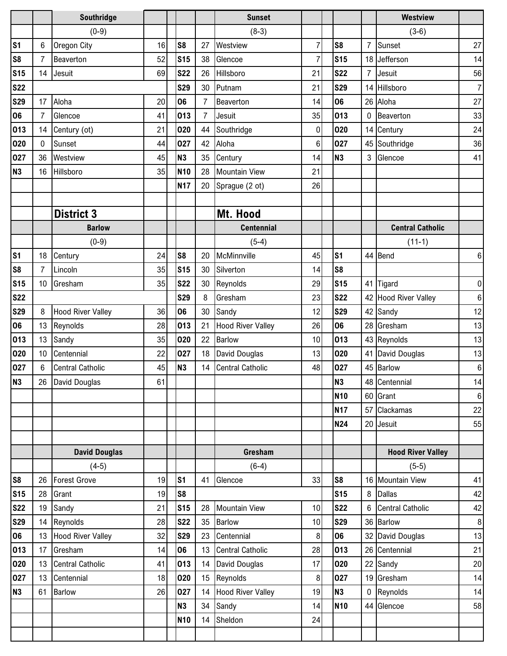|                |                | Southridge               |    |                 |                  | <b>Sunset</b>            |                |                |                | <b>Westview</b>          |                  |
|----------------|----------------|--------------------------|----|-----------------|------------------|--------------------------|----------------|----------------|----------------|--------------------------|------------------|
|                |                | $(0-9)$                  |    |                 |                  | $(8-3)$                  |                |                |                | $(3-6)$                  |                  |
| S <sub>1</sub> | 6              | Oregon City              | 16 | S <sub>8</sub>  | 27               | Westview                 | $\overline{7}$ | S <sub>8</sub> | 7              | Sunset                   | 27               |
| S <sub>8</sub> | $\overline{7}$ | Beaverton                | 52 | <b>S15</b>      | 38               | Glencoe                  | $\overline{7}$ | <b>S15</b>     |                | 18 Jefferson             | 14               |
| <b>S15</b>     | 14             | Jesuit                   | 69 | <b>S22</b>      | 26               | Hillsboro                | 21             | <b>S22</b>     | $\overline{7}$ | Jesuit                   | 56               |
| <b>S22</b>     |                |                          |    | <b>S29</b>      | 30               | Putnam                   | 21             | <b>S29</b>     |                | 14 Hillsboro             | $\overline{7}$   |
| <b>S29</b>     | 17             | Aloha                    | 20 | 06              | 7                | Beaverton                | 14             | 06             | 26             | Aloha                    | 27               |
| 06             | $\overline{7}$ | Glencoe                  | 41 | 013             | $\overline{7}$   | Jesuit                   | 35             | 013            | 0              | Beaverton                | 33               |
| 013            | 14             | Century (ot)             | 21 | 020             | 44               | Southridge               | $\pmb{0}$      | 020            |                | 14 Century               | 24               |
| 020            | 0              | Sunset                   | 44 | 027             | 42               | Aloha                    | 6              | 027            | 45             | Southridge               | 36               |
| 027            | 36             | Westview                 | 45 | N3              | 35               | Century                  | 14             | <b>N3</b>      | 3              | Glencoe                  | 41               |
| <b>N3</b>      | 16             | Hillsboro                | 35 | N <sub>10</sub> | 28               | <b>Mountain View</b>     | 21             |                |                |                          |                  |
|                |                |                          |    | <b>N17</b>      | 20               | Sprague (2 ot)           | 26             |                |                |                          |                  |
|                |                |                          |    |                 |                  |                          |                |                |                |                          |                  |
|                |                | <b>District 3</b>        |    |                 |                  | Mt. Hood                 |                |                |                |                          |                  |
|                |                | <b>Barlow</b>            |    |                 |                  | <b>Centennial</b>        |                |                |                | <b>Central Catholic</b>  |                  |
|                |                | $(0-9)$                  |    |                 |                  | $(5-4)$                  |                |                |                | $(11-1)$                 |                  |
| S <sub>1</sub> | 18             | Century                  | 24 | S <sub>8</sub>  | 20               | McMinnville              | 45             | s <sub>1</sub> |                | 44 Bend                  | 6                |
| S <sub>8</sub> | $\overline{7}$ | Lincoln                  | 35 | <b>S15</b>      | 30               | Silverton                | 14             | S <sub>8</sub> |                |                          |                  |
| <b>S15</b>     | 10             | Gresham                  | 35 | <b>S22</b>      | 30               | Reynolds                 | 29             | <b>S15</b>     |                | 41 Tigard                | $\overline{0}$   |
| <b>S22</b>     |                |                          |    | <b>S29</b>      | 8                | Gresham                  | 23             | <b>S22</b>     |                | 42 Hood River Valley     | 6                |
| <b>S29</b>     | 8              | <b>Hood River Valley</b> | 36 | 06              | 30               | Sandy                    | 12             | <b>S29</b>     | 42             | Sandy                    | 12               |
| 06             | 13             | Reynolds                 | 28 | 013             | 21               | <b>Hood River Valley</b> | 26             | 06             |                | 28 Gresham               | 13               |
| 013            | 13             | Sandy                    | 35 | 020             | 22               | <b>Barlow</b>            | 10             | 013            |                | 43 Reynolds              | 13               |
| 020            | 10             | Centennial               | 22 | 027             | 18               | David Douglas            | 13             | 020            | 41             | David Douglas            | 13               |
| 027            | $6\phantom{a}$ | <b>Central Catholic</b>  | 45 | N3              | 14               | <b>Central Catholic</b>  | 48             | 027            |                | 45 Barlow                | $\,6\,$          |
| N <sub>3</sub> |                | 26 David Douglas         | 61 |                 |                  |                          |                | N3             |                | 48 Centennial            | 14               |
|                |                |                          |    |                 |                  |                          |                | <b>N10</b>     |                | 60 Grant                 | $\boldsymbol{6}$ |
|                |                |                          |    |                 |                  |                          |                | <b>N17</b>     | 57             | Clackamas                | 22               |
|                |                |                          |    |                 |                  |                          |                | <b>N24</b>     | 20             | Jesuit                   | 55               |
|                |                |                          |    |                 |                  |                          |                |                |                |                          |                  |
|                |                | <b>David Douglas</b>     |    |                 |                  | Gresham                  |                |                |                | <b>Hood River Valley</b> |                  |
|                |                | $(4-5)$                  |    |                 |                  | $(6-4)$                  |                |                |                | $(5-5)$                  |                  |
| S <sub>8</sub> | 26             | <b>Forest Grove</b>      | 19 | S <sub>1</sub>  | 41               | Glencoe                  | 33             | S <sub>8</sub> |                | 16 Mountain View         | 41               |
| <b>S15</b>     | 28             | Grant                    | 19 | S <sub>8</sub>  |                  |                          |                | <b>S15</b>     | 8              | <b>Dallas</b>            | 42               |
| <b>S22</b>     | 19             | Sandy                    | 21 | <b>S15</b>      | 28               | <b>Mountain View</b>     | 10             | <b>S22</b>     | 6              | <b>Central Catholic</b>  | 42               |
| <b>S29</b>     | 14             | Reynolds                 | 28 | <b>S22</b>      | 35               | <b>Barlow</b>            | 10             | <b>S29</b>     |                | 36 Barlow                | 8 <sup>1</sup>   |
| 06             | 13             | <b>Hood River Valley</b> | 32 | <b>S29</b>      | 23               | Centennial               | 8              | 06             | 32             | David Douglas            | 13               |
| 013            | 17             | Gresham                  | 14 | 06              | 13               | <b>Central Catholic</b>  | 28             | 013            |                | 26 Centennial            | 21               |
| 020            | 13             | <b>Central Catholic</b>  | 41 | 013             | 14               | David Douglas            | 17             | 020            | 22             | Sandy                    | 20               |
| 027            | 13             | Centennial               | 18 | 020             | 15 <sub>15</sub> | Reynolds                 | 8              | 027            |                | 19 Gresham               | 14               |
| N3             | 61             | Barlow                   | 26 | 027             | 14               | <b>Hood River Valley</b> | 19             | <b>N3</b>      | $\mathbf 0$    | Reynolds                 | 14               |
|                |                |                          |    | N3              | 34               | Sandy                    | 14             | <b>N10</b>     |                | 44 Glencoe               | 58               |
|                |                |                          |    | N <sub>10</sub> | 14               | Sheldon                  | 24             |                |                |                          |                  |
|                |                |                          |    |                 |                  |                          |                |                |                |                          |                  |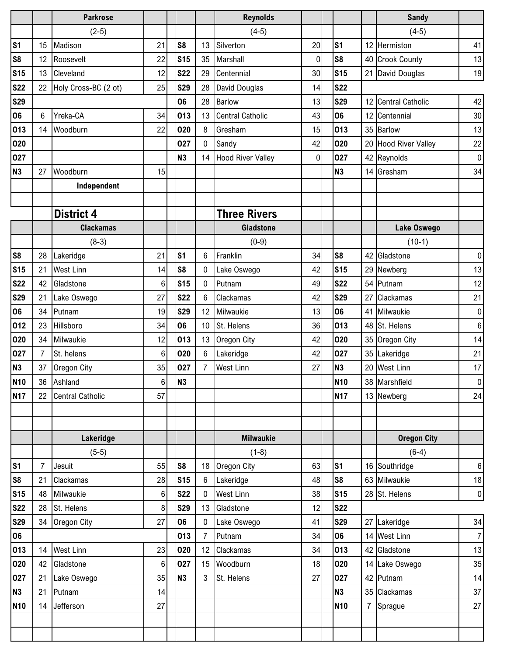|                  |                | <b>Parkrose</b>         |                  |                          |                    | <b>Reynolds</b>               |             |                          |                | <b>Sandy</b>                  |                  |
|------------------|----------------|-------------------------|------------------|--------------------------|--------------------|-------------------------------|-------------|--------------------------|----------------|-------------------------------|------------------|
|                  |                | $(2-5)$                 |                  |                          |                    | $(4-5)$                       |             |                          |                | $(4-5)$                       |                  |
| S <sub>1</sub>   | 15             | Madison                 | 21               | S <sub>8</sub>           | 13                 | Silverton                     | 20          | s <sub>1</sub>           | 12             | Hermiston                     | 41               |
| S <sub>8</sub>   | 12             | Roosevelt               | 22               | <b>S15</b>               | 35                 | Marshall                      | $\pmb{0}$   | S <sub>8</sub>           | 40             | <b>Crook County</b>           | 13               |
| S <sub>15</sub>  | 13             | Cleveland               | 12               | <b>S22</b>               | 29                 | Centennial                    | 30          | <b>S15</b>               | 21             | David Douglas                 | 19               |
| <b>S22</b>       | 22             | Holy Cross-BC (2 ot)    | 25               | <b>S29</b>               | 28                 | David Douglas                 | 14          | <b>S22</b>               |                |                               |                  |
| <b>S29</b>       |                |                         |                  | 06                       | 28                 | <b>Barlow</b>                 | 13          | <b>S29</b>               | 12             | <b>Central Catholic</b>       | 42               |
| 06               | 6              | Yreka-CA                | 34               | 013                      | 13                 | <b>Central Catholic</b>       | 43          | 06                       | 12             | Centennial                    | 30               |
| 013              | 14             | Woodburn                | 22               | 020                      | 8                  | Gresham                       | 15          | 013                      | 35             | <b>Barlow</b>                 | 13               |
| 020              |                |                         |                  | 027                      | 0                  | Sandy                         | 42          | 020                      | 20             | <b>Hood River Valley</b>      | 22               |
| 027              |                |                         |                  | <b>N3</b>                | 14                 | <b>Hood River Valley</b>      | $\mathbf 0$ | 027                      |                | 42 Reynolds                   | $\overline{0}$   |
| N3               | 27             | Woodburn                | 15               |                          |                    |                               |             | <b>N3</b>                | 14             | Gresham                       | 34               |
|                  |                | Independent             |                  |                          |                    |                               |             |                          |                |                               |                  |
|                  |                |                         |                  |                          |                    |                               |             |                          |                |                               |                  |
|                  |                | <b>District 4</b>       |                  |                          |                    | <b>Three Rivers</b>           |             |                          |                |                               |                  |
|                  |                | <b>Clackamas</b>        |                  |                          |                    | <b>Gladstone</b>              |             |                          |                | Lake Oswego                   |                  |
|                  |                | $(8-3)$                 |                  |                          |                    | $(0-9)$                       |             |                          |                | $(10-1)$                      |                  |
| S <sub>8</sub>   | 28             | Lakeridge               | 21               | S <sub>1</sub>           | $6\phantom{1}6$    | Franklin                      | 34          | S <sub>8</sub>           |                | 42 Gladstone                  | $\overline{0}$   |
| S <sub>15</sub>  | 21             | <b>West Linn</b>        | 14               | S <sub>8</sub>           | 0                  | Lake Oswego                   | 42          | <b>S15</b>               | 29             | Newberg                       | 13               |
| <b>S22</b>       | 42             | Gladstone               | $6\phantom{1}6$  | <b>S15</b>               | $\mathbf 0$        | Putnam                        | 49          | <b>S22</b>               | 54             | Putnam                        | 12               |
| <b>S29</b>       | 21             | Lake Oswego             | 27               | <b>S22</b>               | 6                  | Clackamas                     | 42          | <b>S29</b>               | 27             | Clackamas                     | 21               |
| 06               | 34             | Putnam                  | 19               | <b>S29</b>               | 12                 | Milwaukie                     | 13          | 06                       | 41             | Milwaukie                     | $\overline{0}$   |
| 012              | 23             | Hillsboro               | 34               | 06                       | 10                 | St. Helens                    | 36          | 013                      |                | 48 St. Helens                 | $\boldsymbol{6}$ |
| 020              | 34             | Milwaukie               | 12               | 013                      | 13                 | Oregon City                   | 42          | 020                      | 35             | Oregon City                   | 14               |
| 027              | $\overline{7}$ | St. helens              | 6                | 020                      | 6                  | Lakeridge                     | 42          | 027                      |                | 35 Lakeridge                  | 21               |
| N3               | 37             | Oregon City             | 35               | 027                      | $\overline{7}$     | <b>West Linn</b>              | 27          | <b>N3</b>                |                | 20 West Linn                  | 17               |
| <b>N10</b>       | 36             | Ashland                 | $\boldsymbol{6}$ | N <sub>3</sub>           |                    |                               |             | <b>N10</b>               |                | 38 Marshfield                 | 0                |
| <b>N17</b>       | 22             | <b>Central Catholic</b> | 57               |                          |                    |                               |             | <b>N17</b>               |                | 13 Newberg                    | 24               |
|                  |                |                         |                  |                          |                    |                               |             |                          |                |                               |                  |
|                  |                |                         |                  |                          |                    |                               |             |                          |                |                               |                  |
|                  |                | Lakeridge               |                  |                          |                    | <b>Milwaukie</b>              |             |                          |                | <b>Oregon City</b>            |                  |
|                  |                | $(5-5)$                 |                  |                          |                    | $(1-8)$                       |             |                          |                | $(6-4)$                       |                  |
| S <sub>1</sub>   | $\overline{7}$ | Jesuit                  | 55               | S <sub>8</sub>           | 18                 | Oregon City                   | 63          | s <sub>1</sub>           |                | 16 Southridge                 | $6 \mid$         |
| S <sub>8</sub>   | 21             | Clackamas               | 28               | <b>S15</b>               | $\boldsymbol{6}$   | Lakeridge<br><b>West Linn</b> | 48          | S <sub>8</sub>           |                | 63 Milwaukie                  | 18               |
| <b>S15</b>       | 48             | Milwaukie               | 6<br>8           | <b>S22</b><br><b>S29</b> | $\mathbf{0}$<br>13 |                               | 38          | <b>S15</b><br><b>S22</b> |                | 28 St. Helens                 | $\mathbf{0}$     |
| <b>S22</b>       | 28<br>34       | St. Helens              | 27               | 06                       | $\bf{0}$           | Gladstone                     | 12<br>41    | <b>S29</b>               | 27             |                               | 34               |
| <b>S29</b><br>06 |                | Oregon City             |                  | 013                      | $\overline{7}$     | Lake Oswego<br>Putnam         | 34          | 06                       | 14             | Lakeridge<br><b>West Linn</b> | 7                |
| 013              | 14             | <b>West Linn</b>        | 23               | 020                      | 12                 | Clackamas                     | 34          | 013                      |                | 42 Gladstone                  | 13               |
| 020              | 42             | Gladstone               | $6\phantom{.}$   | 027                      | 15                 | Woodburn                      | 18          | 020                      | 14             | Lake Oswego                   | 35               |
| 027              | 21             |                         | 35               | <b>N3</b>                | 3                  | St. Helens                    | 27          | 027                      |                | 42 Putnam                     | 14               |
| N3               | 21             | Lake Oswego<br>Putnam   | 14               |                          |                    |                               |             | <b>N3</b>                | 35             | Clackamas                     | 37               |
| <b>N10</b>       | 14             | Jefferson               | 27               |                          |                    |                               |             | <b>N10</b>               | $\overline{7}$ |                               | 27               |
|                  |                |                         |                  |                          |                    |                               |             |                          |                | Sprague                       |                  |
|                  |                |                         |                  |                          |                    |                               |             |                          |                |                               |                  |
|                  |                |                         |                  |                          |                    |                               |             |                          |                |                               |                  |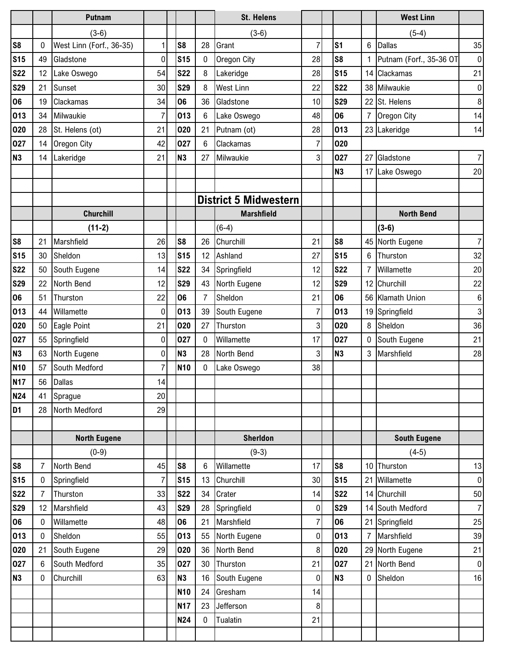|                |                 | <b>Putnam</b>            |                |                |                | <b>St. Helens</b>            |                |                |                  | <b>West Linn</b>        |                |
|----------------|-----------------|--------------------------|----------------|----------------|----------------|------------------------------|----------------|----------------|------------------|-------------------------|----------------|
|                |                 | $(3-6)$                  |                |                |                | $(3-6)$                      |                |                |                  | $(5-4)$                 |                |
| S <sub>8</sub> | 0               | West Linn (Forf., 36-35) | 1              | S <sub>8</sub> | 28             | Grant                        | $\overline{7}$ | s <sub>1</sub> | 6                | <b>Dallas</b>           | 35             |
| <b>S15</b>     | 49              | Gladstone                | 0              | <b>S15</b>     | 0              | Oregon City                  | 28             | S <sub>8</sub> |                  | Putnam (Forf., 35-36 OT | $\overline{0}$ |
| <b>S22</b>     | 12              | Lake Oswego              | 54             | <b>S22</b>     | 8              | Lakeridge                    | 28             | <b>S15</b>     | 14               | Clackamas               | 21             |
| <b>S29</b>     | 21              | Sunset                   | 30             | <b>S29</b>     | 8              | <b>West Linn</b>             | 22             | <b>S22</b>     |                  | 38 Milwaukie            | $\overline{0}$ |
| 06             | 19              | Clackamas                | 34             | 06             | 36             | Gladstone                    | 10             | <b>S29</b>     | 22               | St. Helens              | $\bf 8$        |
| 013            | 34              | Milwaukie                | 7              | 013            | $6\phantom{1}$ | Lake Oswego                  | 48             | 06             | 7                | Oregon City             | 14             |
| 020            | 28              | St. Helens (ot)          | 21             | 020            | 21             | Putnam (ot)                  | 28             | 013            |                  | 23 Lakeridge            | 14             |
| 027            | 14              | Oregon City              | 42             | 027            | $6\phantom{1}$ | Clackamas                    | $\overline{7}$ | 020            |                  |                         |                |
| N <sub>3</sub> | 14              | Lakeridge                | 21             | <b>N3</b>      | 27             | Milwaukie                    | 3              | 027            | 27               | Gladstone               | $\overline{7}$ |
|                |                 |                          |                |                |                |                              |                | N <sub>3</sub> |                  | 17 Lake Oswego          | 20             |
|                |                 |                          |                |                |                |                              |                |                |                  |                         |                |
|                |                 |                          |                |                |                | <b>District 5 Midwestern</b> |                |                |                  |                         |                |
|                |                 | <b>Churchill</b>         |                |                |                | <b>Marshfield</b>            |                |                |                  | <b>North Bend</b>       |                |
|                |                 | $(11-2)$                 |                |                |                | $(6-4)$                      |                |                |                  | $(3-6)$                 |                |
| S <sub>8</sub> | 21              | Marshfield               | 26             | S <sub>8</sub> | 26             | Churchill                    | 21             | S <sub>8</sub> |                  | 45 North Eugene         | $\overline{7}$ |
| <b>S15</b>     | 30              | Sheldon                  | 13             | <b>S15</b>     | 12             | Ashland                      | 27             | <b>S15</b>     | 6                | Thurston                | 32             |
| <b>S22</b>     | 50              | South Eugene             | 14             | <b>S22</b>     | 34             | Springfield                  | 12             | <b>S22</b>     | $\overline{7}$   | Willamette              | $20\,$         |
| <b>S29</b>     | 22              | North Bend               | 12             | <b>S29</b>     | 43             | North Eugene                 | 12             | <b>S29</b>     | 12               | Churchill               | 22             |
| 06             | 51              | Thurston                 | 22             | 06             | $\overline{7}$ | Sheldon                      | 21             | 06             |                  | 56 Klamath Union        | 6              |
| 013            | 44              | Willamette               | 0              | 013            | 39             | South Eugene                 | 7              | 013            | 19               | Springfield             | 3              |
| 020            | 50              | Eagle Point              | 21             | 020            | 27             | Thurston                     | 3              | 020            | 8                | Sheldon                 | 36             |
| 027            | 55              | Springfield              | 0              | 027            | 0              | Willamette                   | 17             | 027            | 0                | South Eugene            | 21             |
| N <sub>3</sub> | 63              | North Eugene             | 0              | <b>N3</b>      | 28             | North Bend                   | 3              | N <sub>3</sub> | 3                | Marshfield              | 28             |
| <b>N10</b>     | 57              | South Medford            | $\overline{7}$ | <b>N10</b>     | 0              | Lake Oswego                  | 38             |                |                  |                         |                |
| <b>N17</b>     |                 | 56 Dallas                | 14             |                |                |                              |                |                |                  |                         |                |
| <b>N24</b>     | 41              | Sprague                  | 20             |                |                |                              |                |                |                  |                         |                |
| D <sub>1</sub> | 28              | North Medford            | 29             |                |                |                              |                |                |                  |                         |                |
|                |                 |                          |                |                |                |                              |                |                |                  |                         |                |
|                |                 | <b>North Eugene</b>      |                |                |                | <b>Sherldon</b>              |                |                |                  | <b>South Eugene</b>     |                |
|                |                 | $(0-9)$                  |                |                |                | $(9-3)$                      |                |                |                  | $(4-5)$                 |                |
| S <sub>8</sub> | $\overline{7}$  | North Bend               | 45             | S <sub>8</sub> | $6\phantom{1}$ | Willamette                   | 17             | S <sub>8</sub> |                  | 10 Thurston             | 13             |
| <b>S15</b>     | $\mathbf 0$     | Springfield              | 7              | <b>S15</b>     | 13             | Churchill                    | 30             | <b>S15</b>     | 21               | Willamette              | $\overline{0}$ |
| <b>S22</b>     | $\overline{7}$  | Thurston                 | 33             | <b>S22</b>     | 34             | Crater                       | 14             | <b>S22</b>     |                  | 14 Churchill            | 50             |
| <b>S29</b>     | 12              | Marshfield               | 43             | <b>S29</b>     | 28             | Springfield                  | 0              | <b>S29</b>     |                  | 14 South Medford        | $\overline{7}$ |
| 06             | $\mathbf 0$     | Willamette               | 48             | 06             | 21             | Marshfield                   | $\overline{7}$ | 06             |                  | 21 Springfield          | 25             |
| 013            | 0               | Sheldon                  | 55             | 013            | 55             | North Eugene                 | 0              | 013            | $\overline{7}$   | Marshfield              | 39             |
| 020            | 21              | South Eugene             | 29             | 020            | 36             | North Bend                   | 8              | 020            | 29               | North Eugene            | 21             |
| 027            | $6\phantom{.0}$ | South Medford            | 35             | 027            | 30             | Thurston                     | 21             | 027            | 21               | North Bend              | $\overline{0}$ |
| <b>N3</b>      | 0               | Churchill                | 63             | <b>N3</b>      | 16             | South Eugene                 | 0              | N <sub>3</sub> | $\boldsymbol{0}$ | Sheldon                 | 16             |
|                |                 |                          |                | <b>N10</b>     | 24             | Gresham                      | 14             |                |                  |                         |                |
|                |                 |                          |                | <b>N17</b>     | 23             | Jefferson                    | 8              |                |                  |                         |                |
|                |                 |                          |                | N24            | $\mathbf 0$    | Tualatin                     | 21             |                |                  |                         |                |
|                |                 |                          |                |                |                |                              |                |                |                  |                         |                |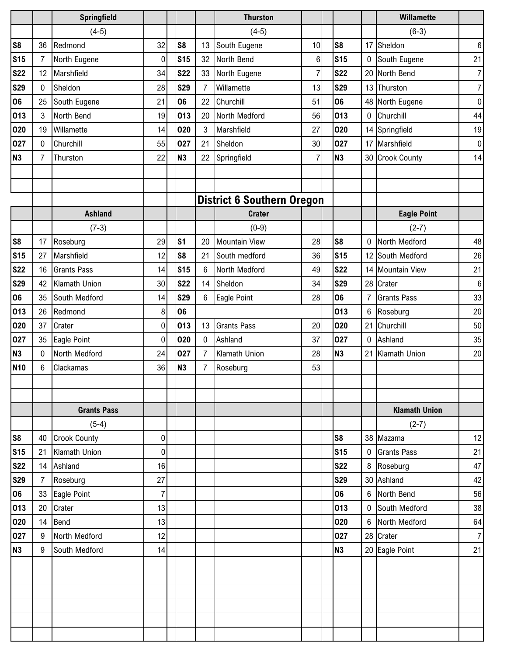|                |                | Springfield         |         |                |                | <b>Thurston</b>                   |                |                |                  | <b>Willamette</b>    |                |
|----------------|----------------|---------------------|---------|----------------|----------------|-----------------------------------|----------------|----------------|------------------|----------------------|----------------|
|                |                | $(4-5)$             |         |                |                | $(4-5)$                           |                |                |                  | $(6-3)$              |                |
| S <sub>8</sub> | 36             | Redmond             | 32      | S <sub>8</sub> | 13             | South Eugene                      | 10             | S <sub>8</sub> | 17               | Sheldon              | 6              |
| <b>S15</b>     | $\overline{7}$ | North Eugene        | 0       | <b>S15</b>     | 32             | North Bend                        | 6              | <b>S15</b>     | 0                | South Eugene         | 21             |
| <b>S22</b>     | 12             | Marshfield          | 34      | <b>S22</b>     | 33             | North Eugene                      | $\overline{7}$ | <b>S22</b>     | 20               | North Bend           | $\overline{7}$ |
| <b>S29</b>     | $\mathbf 0$    | Sheldon             | 28      | <b>S29</b>     | 7              | Willamette                        | 13             | <b>S29</b>     |                  | 13 Thurston          | $\overline{7}$ |
| 06             | 25             | South Eugene        | 21      | 06             | 22             | Churchill                         | 51             | 06             | 48               | North Eugene         | 0              |
| 013            | 3              | North Bend          | 19      | 013            | 20             | North Medford                     | 56             | 013            | $\boldsymbol{0}$ | Churchill            | 44             |
| 020            | 19             | Willamette          | 14      | 020            | 3              | Marshfield                        | 27             | 020            | 14               | Springfield          | 19             |
| 027            | 0              | Churchill           | 55      | 027            | 21             | Sheldon                           | 30             | 027            | 17               | Marshfield           | $\overline{0}$ |
| <b>N3</b>      | $\overline{7}$ | Thurston            | 22      | N3             | 22             | Springfield                       | 7              | N <sub>3</sub> |                  | 30 Crook County      | 14             |
|                |                |                     |         |                |                |                                   |                |                |                  |                      |                |
|                |                |                     |         |                |                |                                   |                |                |                  |                      |                |
|                |                |                     |         |                |                | <b>District 6 Southern Oregon</b> |                |                |                  |                      |                |
|                |                | <b>Ashland</b>      |         |                |                | <b>Crater</b>                     |                |                |                  | <b>Eagle Point</b>   |                |
|                |                | $(7-3)$             |         |                |                | $(0-9)$                           |                |                |                  | $(2-7)$              |                |
| S <sub>8</sub> | 17             | Roseburg            | 29      | S <sub>1</sub> | 20             | <b>Mountain View</b>              | 28             | S <sub>8</sub> | 0                | North Medford        | 48             |
| <b>S15</b>     | 27             | Marshfield          | 12      | S <sub>8</sub> | 21             | South medford                     | 36             | <b>S15</b>     | 12               | South Medford        | 26             |
| <b>S22</b>     | 16             | <b>Grants Pass</b>  | 14      | <b>S15</b>     | 6              | North Medford                     | 49             | <b>S22</b>     | 14               | <b>Mountain View</b> | 21             |
| <b>S29</b>     | 42             | Klamath Union       | 30      | <b>S22</b>     | 14             | Sheldon                           | 34             | <b>S29</b>     | 28               | Crater               | $\,6$          |
| 06             | 35             | South Medford       | 14      | <b>S29</b>     | 6              | Eagle Point                       | 28             | 06             | $\overline{7}$   | <b>Grants Pass</b>   | 33             |
| 013            | 26             | Redmond             | $\bf 8$ | 06             |                |                                   |                | 013            | 6                | Roseburg             | 20             |
| 020            | 37             | Crater              | 0       | 013            | 13             | <b>Grants Pass</b>                | 20             | 020            | 21               | Churchill            | 50             |
| 027            | 35             | Eagle Point         | 0       | 020            | 0              | Ashland                           | 37             | 027            | $\mathbf 0$      | Ashland              | 35             |
| <b>N3</b>      | $\mathbf 0$    | North Medford       | 24      | 027            | $\overline{7}$ | <b>Klamath Union</b>              | 28             | N <sub>3</sub> | 21               | Klamath Union        | 20             |
| <b>N10</b>     | 6              | Clackamas           | 36      | N3             | 7              | Roseburg                          | 53             |                |                  |                      |                |
|                |                |                     |         |                |                |                                   |                |                |                  |                      |                |
|                |                |                     |         |                |                |                                   |                |                |                  |                      |                |
|                |                | <b>Grants Pass</b>  |         |                |                |                                   |                |                |                  | <b>Klamath Union</b> |                |
|                |                | $(5-4)$             |         |                |                |                                   |                |                |                  | $(2-7)$              |                |
| S8             | 40             | <b>Crook County</b> | 0       |                |                |                                   |                | S <sub>8</sub> |                  | 38 Mazama            | 12             |
| <b>S15</b>     | 21             | Klamath Union       | 0       |                |                |                                   |                | <b>S15</b>     | $\mathbf 0$      | <b>Grants Pass</b>   | 21             |
| <b>S22</b>     |                | 14 Ashland          | 16      |                |                |                                   |                | <b>S22</b>     | 8                | Roseburg             | 47             |
| <b>S29</b>     | $\overline{7}$ | Roseburg            | 27      |                |                |                                   |                | <b>S29</b>     |                  | 30 Ashland           | 42             |
| 06             | 33             | <b>Eagle Point</b>  | 7       |                |                |                                   |                | 06             | $6\phantom{.}6$  | North Bend           | 56             |
| 013            | 20             | Crater              | 13      |                |                |                                   |                | 013            | 0                | South Medford        | 38             |
| 020            | 14             | <b>Bend</b>         | 13      |                |                |                                   |                | 020            | $6\phantom{1}$   | North Medford        | 64             |
| 027            | 9              | North Medford       | 12      |                |                |                                   |                | 027            |                  | 28 Crater            | $\overline{7}$ |
| <b>N3</b>      | 9              | South Medford       | 14      |                |                |                                   |                | N <sub>3</sub> |                  | 20 Eagle Point       | 21             |
|                |                |                     |         |                |                |                                   |                |                |                  |                      |                |
|                |                |                     |         |                |                |                                   |                |                |                  |                      |                |
|                |                |                     |         |                |                |                                   |                |                |                  |                      |                |
|                |                |                     |         |                |                |                                   |                |                |                  |                      |                |
|                |                |                     |         |                |                |                                   |                |                |                  |                      |                |
|                |                |                     |         |                |                |                                   |                |                |                  |                      |                |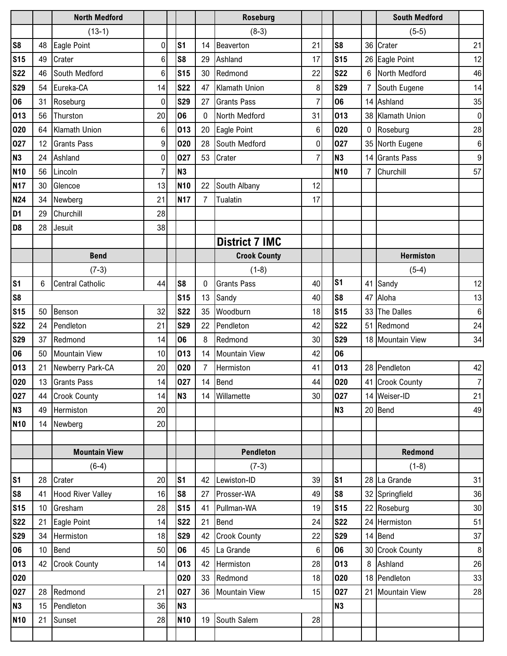|                |                 | <b>North Medford</b>     |                |                |                | <b>Roseburg</b>       |                |                |                  | <b>South Medford</b> |                  |
|----------------|-----------------|--------------------------|----------------|----------------|----------------|-----------------------|----------------|----------------|------------------|----------------------|------------------|
|                |                 | $(13-1)$                 |                |                |                | $(8-3)$               |                |                |                  | $(5-5)$              |                  |
| S <sub>8</sub> | 48              | Eagle Point              | 0              | S <sub>1</sub> | 14             | Beaverton             | 21             | S <sub>8</sub> |                  | 36 Crater            | 21               |
| <b>S15</b>     | 49              | Crater                   | 6              | S <sub>8</sub> | 29             | Ashland               | 17             | <b>S15</b>     |                  | 26 Eagle Point       | 12               |
| <b>S22</b>     | 46              | South Medford            | $6\phantom{1}$ | <b>S15</b>     | 30             | Redmond               | 22             | <b>S22</b>     | 6                | North Medford        | 46               |
| <b>S29</b>     | 54              | Eureka-CA                | 14             | <b>S22</b>     | 47             | Klamath Union         | 8              | <b>S29</b>     | 7                | South Eugene         | 14               |
| 06             | 31              | Roseburg                 | 0              | <b>S29</b>     | 27             | <b>Grants Pass</b>    | $\overline{7}$ | 06             |                  | 14 Ashland           | 35               |
| 013            | 56              | Thurston                 | 20             | 06             | $\mathbf{0}$   | North Medford         | 31             | 013            |                  | 38 Klamath Union     | $\overline{0}$   |
| 020            | 64              | <b>Klamath Union</b>     | $\,6$          | 013            | 20             | Eagle Point           | 6              | 020            | $\boldsymbol{0}$ | Roseburg             | 28               |
| 027            | 12              | <b>Grants Pass</b>       | 9              | 020            | 28             | South Medford         | 0              | 027            | 35               | North Eugene         | 6                |
| <b>N3</b>      | 24              | Ashland                  | 0              | 027            | 53             | Crater                | 7              | N <sub>3</sub> |                  | 14 Grants Pass       | $\boldsymbol{9}$ |
| <b>N10</b>     | 56              | Lincoln                  | 7              | <b>N3</b>      |                |                       |                | <b>N10</b>     | 7                | Churchill            | 57               |
| <b>N17</b>     | 30              | Glencoe                  | 13             | <b>N10</b>     | 22             | South Albany          | 12             |                |                  |                      |                  |
| <b>N24</b>     | 34              | Newberg                  | 21             | <b>N17</b>     | $\overline{7}$ | Tualatin              | 17             |                |                  |                      |                  |
| D <sub>1</sub> | 29              | Churchill                | 28             |                |                |                       |                |                |                  |                      |                  |
| D <sub>8</sub> | 28              | Jesuit                   | 38             |                |                |                       |                |                |                  |                      |                  |
|                |                 |                          |                |                |                | <b>District 7 IMC</b> |                |                |                  |                      |                  |
|                |                 | <b>Bend</b>              |                |                |                | <b>Crook County</b>   |                |                |                  | <b>Hermiston</b>     |                  |
|                |                 | $(7-3)$                  |                |                |                | $(1-8)$               |                |                |                  | $(5-4)$              |                  |
| S <sub>1</sub> | 6               | <b>Central Catholic</b>  | 44             | S <sub>8</sub> | $\mathbf{0}$   | <b>Grants Pass</b>    | 40             | s <sub>1</sub> | 41               | Sandy                | 12               |
| S <sub>8</sub> |                 |                          |                | <b>S15</b>     | 13             | Sandy                 | 40             | S <sub>8</sub> | 47               | Aloha                | 13               |
| <b>S15</b>     | 50              | Benson                   | 32             | <b>S22</b>     | 35             | Woodburn              | 18             | <b>S15</b>     |                  | 33 The Dalles        | $\,6\,$          |
| <b>S22</b>     | 24              | Pendleton                | 21             | <b>S29</b>     | 22             | Pendleton             | 42             | <b>S22</b>     |                  | 51 Redmond           | 24               |
| <b>S29</b>     | 37              | Redmond                  | 14             | 06             | 8              | Redmond               | 30             | <b>S29</b>     |                  | 18 Mountain View     | 34               |
| 06             | 50              | <b>Mountain View</b>     | 10             | 013            | 14             | <b>Mountain View</b>  | 42             | 06             |                  |                      |                  |
| 013            | 21              | Newberry Park-CA         | 20             | 020            | $\overline{7}$ | Hermiston             | 41             | 013            |                  | 28 Pendleton         | 42               |
| 020            |                 | 13 Grants Pass           | 14             | 027            | 14             | <b>Bend</b>           | 44             | 020            |                  | 41 Crook County      | $\overline{7}$   |
| 027            | 44              | <b>Crook County</b>      | 14             | N3             |                | 14 Willamette         | 30             | 027            |                  | 14 Weiser-ID         | 21               |
| N3             | 49              | Hermiston                | 20             |                |                |                       |                | N <sub>3</sub> |                  | 20 Bend              | 49               |
| <b>N10</b>     | 14              | Newberg                  | 20             |                |                |                       |                |                |                  |                      |                  |
|                |                 |                          |                |                |                |                       |                |                |                  |                      |                  |
|                |                 | <b>Mountain View</b>     |                |                |                | <b>Pendleton</b>      |                |                |                  | Redmond              |                  |
|                |                 | $(6-4)$                  |                |                |                | $(7-3)$               |                |                |                  | $(1-8)$              |                  |
| S <sub>1</sub> | 28              | Crater                   | 20             | S <sub>1</sub> |                | 42 Lewiston-ID        | 39             | S <sub>1</sub> |                  | 28 La Grande         | 31               |
| S <sub>8</sub> | 41              | <b>Hood River Valley</b> | 16             | S <sub>8</sub> | 27             | Prosser-WA            | 49             | S <sub>8</sub> |                  | 32 Springfield       | 36               |
| <b>S15</b>     | 10              | Gresham                  | 28             | <b>S15</b>     | 41             | Pullman-WA            | 19             | <b>S15</b>     |                  | 22 Roseburg          | 30               |
| <b>S22</b>     | 21              | Eagle Point              | 14             | <b>S22</b>     | 21             | Bend                  | 24             | <b>S22</b>     |                  | 24 Hermiston         | 51               |
| <b>S29</b>     | 34              | Hermiston                | 18             | <b>S29</b>     | 42             | <b>Crook County</b>   | 22             | <b>S29</b>     |                  | 14 Bend              | 37               |
| 06             | 10 <sup>°</sup> | Bend                     | 50             | 06             | 45             | La Grande             | 6              | 06             |                  | 30 Crook County      | 8                |
| 013            | 42              | <b>Crook County</b>      | 14             | 013            | 42             | Hermiston             | 28             | 013            |                  | 8 Ashland            | 26               |
| 020            |                 |                          |                | 020            | 33             | Redmond               | 18             | 020            |                  | 18 Pendleton         | 33               |
| 027            | 28              | Redmond                  | 21             | 027            |                | 36 Mountain View      | 15             | 027            |                  | 21 Mountain View     | 28               |
| <b>N3</b>      | 15              | Pendleton                | 36             | N <sub>3</sub> |                |                       |                | N <sub>3</sub> |                  |                      |                  |
| <b>N10</b>     | 21              | Sunset                   | 28             | <b>N10</b>     | 19             | South Salem           | 28             |                |                  |                      |                  |
|                |                 |                          |                |                |                |                       |                |                |                  |                      |                  |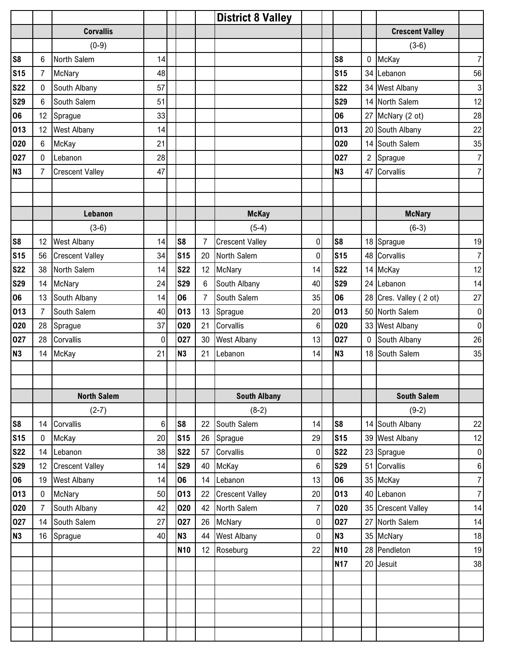|                |                 |                        |    |                |                | <b>District 8 Valley</b> |                  |                 |                  |                        |                           |
|----------------|-----------------|------------------------|----|----------------|----------------|--------------------------|------------------|-----------------|------------------|------------------------|---------------------------|
|                |                 | <b>Corvallis</b>       |    |                |                |                          |                  |                 |                  | <b>Crescent Valley</b> |                           |
|                |                 | $(0-9)$                |    |                |                |                          |                  |                 |                  | $(3-6)$                |                           |
| S <sub>8</sub> | 6               | North Salem            | 14 |                |                |                          |                  | S <sub>8</sub>  | $\mathbf 0$      | McKay                  | $\overline{7}$            |
| <b>S15</b>     | $\overline{7}$  | McNary                 | 48 |                |                |                          |                  | <b>S15</b>      |                  | 34 Lebanon             | 56                        |
| <b>S22</b>     | $\mathbf 0$     | South Albany           | 57 |                |                |                          |                  | <b>S22</b>      |                  | 34 West Albany         | $\ensuremath{\mathsf{3}}$ |
| <b>S29</b>     | 6               | South Salem            | 51 |                |                |                          |                  | <b>S29</b>      |                  | 14 North Salem         | 12                        |
| 06             | 12              | Sprague                | 33 |                |                |                          |                  | 06              |                  | 27 McNary (2 ot)       | 28                        |
| 013            | 12              | <b>West Albany</b>     | 14 |                |                |                          |                  | 013             | 20               | South Albany           | $22\,$                    |
| 020            | $6\phantom{.0}$ | <b>McKay</b>           | 21 |                |                |                          |                  | 020             | 14               | South Salem            | 35                        |
| 027            | $\mathbf 0$     | Lebanon                | 28 |                |                |                          |                  | 027             | $\overline{2}$   | Sprague                | $\overline{7}$            |
| <b>N3</b>      | $\overline{7}$  | <b>Crescent Valley</b> | 47 |                |                |                          |                  | <b>N3</b>       | 47               | Corvallis              | $\overline{7}$            |
|                |                 |                        |    |                |                |                          |                  |                 |                  |                        |                           |
|                |                 |                        |    |                |                |                          |                  |                 |                  |                        |                           |
|                |                 | Lebanon                |    |                |                | <b>McKay</b>             |                  |                 |                  | <b>McNary</b>          |                           |
|                |                 | $(3-6)$                |    |                |                | $(5-4)$                  |                  |                 |                  | $(6-3)$                |                           |
| S <sub>8</sub> | 12              | <b>West Albany</b>     | 14 | S <sub>8</sub> | $\overline{7}$ | <b>Crescent Valley</b>   | $\boldsymbol{0}$ | S <sub>8</sub>  |                  | 18 Sprague             | 19                        |
| <b>S15</b>     | 56              | <b>Crescent Valley</b> | 34 | <b>S15</b>     | 20             | North Salem              | 0                | S <sub>15</sub> |                  | 48 Corvallis           | $\overline{7}$            |
| <b>S22</b>     | 38              | North Salem            | 14 | <b>S22</b>     | 12             | McNary                   | 14               | <b>S22</b>      |                  | 14 McKay               | 12                        |
| <b>S29</b>     | 14              | <b>McNary</b>          | 24 | <b>S29</b>     | 6              | South Albany             | 40               | <b>S29</b>      |                  | 24 Lebanon             | 14                        |
| 06             | 13              | South Albany           | 14 | 06             | $\overline{7}$ | South Salem              | 35               | 06              |                  | 28 Cres. Valley (2 ot) | 27                        |
| 013            | $\overline{7}$  | South Salem            | 40 | 013            | 13             | Sprague                  | 20               | 013             |                  | 50 North Salem         | $\overline{0}$            |
| 020            | 28              | Sprague                | 37 | 020            | 21             | Corvallis                | 6                | 020             |                  | 33 West Albany         | $\pmb{0}$                 |
| 027            | 28              | Corvallis              | 0  | 027            | 30             | <b>West Albany</b>       | 13               | 027             | $\boldsymbol{0}$ | South Albany           | 26                        |
| <b>N3</b>      | 14              | McKay                  | 21 | N3             | 21             | Lebanon                  | 14               | <b>N3</b>       |                  | 18 South Salem         | 35                        |
|                |                 |                        |    |                |                |                          |                  |                 |                  |                        |                           |
|                |                 |                        |    |                |                |                          |                  |                 |                  |                        |                           |
|                |                 | <b>North Salem</b>     |    |                |                | <b>South Albany</b>      |                  |                 |                  | <b>South Salem</b>     |                           |
|                |                 | $(2-7)$                |    |                |                | $(8-2)$                  |                  |                 |                  | $(9-2)$                |                           |
| S <sub>8</sub> | 14              | Corvallis              | 6  | S8             | 22             | South Salem              | 14               | S <sub>8</sub>  | 14               | South Albany           | 22                        |
| <b>S15</b>     | $\pmb{0}$       | <b>McKay</b>           | 20 | <b>S15</b>     | 26             | Sprague                  | 29               | <b>S15</b>      | 39               | <b>West Albany</b>     | 12                        |
| <b>S22</b>     | 14              | Lebanon                | 38 | <b>S22</b>     | 57             | Corvallis                | 0                | <b>S22</b>      | 23               | Sprague                | $\overline{0}$            |
| <b>S29</b>     | 12              | <b>Crescent Valley</b> | 14 | <b>S29</b>     | 40             | McKay                    | 6                | <b>S29</b>      | 51               | Corvallis              | $\boldsymbol{6}$          |
| 06             | 19              | <b>West Albany</b>     | 14 | 06             | 14             | Lebanon                  | 13               | 06              |                  | 35 McKay               | $\overline{7}$            |
| 013            | $\pmb{0}$       | <b>McNary</b>          | 50 | 013            | 22             | <b>Crescent Valley</b>   | 20               | 013             |                  | 40 Lebanon             | $\overline{7}$            |
| 020            | $\overline{7}$  | South Albany           | 42 | 020            | 42             | North Salem              | $\overline{7}$   | 020             |                  | 35 Crescent Valley     | 14                        |
| 027            | 14              | South Salem            | 27 | 027            | 26             | McNary                   | $\pmb{0}$        | 027             | 27               | North Salem            | 14                        |
| <b>N3</b>      | 16              | Sprague                | 40 | <b>N3</b>      | 44             | <b>West Albany</b>       | 0                | <b>N3</b>       |                  | 35 McNary              | 18                        |
|                |                 |                        |    | <b>N10</b>     | 12             | Roseburg                 | 22               | <b>N10</b>      |                  | 28 Pendleton           | 19                        |
|                |                 |                        |    |                |                |                          |                  | <b>N17</b>      | 20               | Jesuit                 | 38                        |
|                |                 |                        |    |                |                |                          |                  |                 |                  |                        |                           |
|                |                 |                        |    |                |                |                          |                  |                 |                  |                        |                           |
|                |                 |                        |    |                |                |                          |                  |                 |                  |                        |                           |
|                |                 |                        |    |                |                |                          |                  |                 |                  |                        |                           |
|                |                 |                        |    |                |                |                          |                  |                 |                  |                        |                           |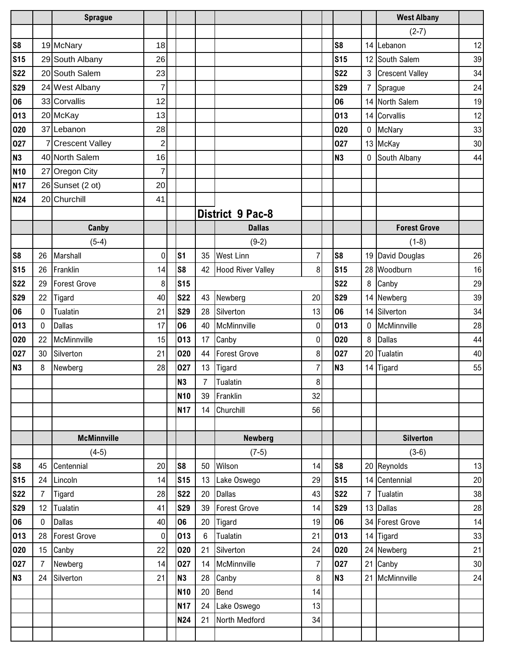|                |                | <b>Sprague</b>      |                         |                 |                 |                          |                |                |                | <b>West Albany</b>     |    |
|----------------|----------------|---------------------|-------------------------|-----------------|-----------------|--------------------------|----------------|----------------|----------------|------------------------|----|
|                |                |                     |                         |                 |                 |                          |                |                |                | $(2-7)$                |    |
| S <sub>8</sub> |                | 19 McNary           | 18                      |                 |                 |                          |                | S <sub>8</sub> |                | 14 Lebanon             | 12 |
| <b>S15</b>     |                | 29 South Albany     | 26                      |                 |                 |                          |                | <b>S15</b>     | 12             | South Salem            | 39 |
| <b>S22</b>     |                | 20 South Salem      | 23                      |                 |                 |                          |                | <b>S22</b>     | 3              | <b>Crescent Valley</b> | 34 |
| <b>S29</b>     |                | 24 West Albany      | 7                       |                 |                 |                          |                | <b>S29</b>     | $\overline{7}$ | Sprague                | 24 |
| 06             |                | 33 Corvallis        | 12                      |                 |                 |                          |                | 06             |                | 14 North Salem         | 19 |
| 013            |                | 20 McKay            | 13                      |                 |                 |                          |                | 013            |                | 14 Corvallis           | 12 |
| 020            |                | 37 Lebanon          | 28                      |                 |                 |                          |                | 020            | $\mathbf 0$    | McNary                 | 33 |
| 027            |                | 7 Crescent Valley   | $\overline{\mathbf{c}}$ |                 |                 |                          |                | 027            |                | 13 McKay               | 30 |
| <b>N3</b>      |                | 40 North Salem      | 16                      |                 |                 |                          |                | <b>N3</b>      | 0              | South Albany           | 44 |
| <b>N10</b>     |                | 27 Oregon City      | 7                       |                 |                 |                          |                |                |                |                        |    |
| <b>N17</b>     |                | $26$ Sunset (2 ot)  | 20                      |                 |                 |                          |                |                |                |                        |    |
| <b>N24</b>     |                | 20 Churchill        | 41                      |                 |                 |                          |                |                |                |                        |    |
|                |                |                     |                         |                 |                 | <b>District 9 Pac-8</b>  |                |                |                |                        |    |
|                |                | Canby               |                         |                 |                 | <b>Dallas</b>            |                |                |                | <b>Forest Grove</b>    |    |
|                |                | $(5-4)$             |                         |                 |                 | $(9-2)$                  |                |                |                | $(1-8)$                |    |
| S <sub>8</sub> | 26             | Marshall            | 0                       | S <sub>1</sub>  | 35              | <b>West Linn</b>         | $\overline{7}$ | S <sub>8</sub> |                | 19 David Douglas       | 26 |
| <b>S15</b>     | 26             | Franklin            | 14                      | S <sub>8</sub>  | 42              | <b>Hood River Valley</b> | 8              | <b>S15</b>     |                | 28 Woodburn            | 16 |
| <b>S22</b>     | 29             | Forest Grove        | 8                       | <b>S15</b>      |                 |                          |                | <b>S22</b>     | 8              | Canby                  | 29 |
| <b>S29</b>     | 22             | Tigard              | 40                      | <b>S22</b>      | 43              | Newberg                  | 20             | <b>S29</b>     | 14             | Newberg                | 39 |
| 06             | $\mathbf 0$    | Tualatin            | 21                      | <b>S29</b>      | 28              | Silverton                | 13             | 06             | 14             | Silverton              | 34 |
| 013            | $\mathbf 0$    | <b>Dallas</b>       | 17                      | 06              | 40              | McMinnville              | $\mathbf 0$    | 013            | $\mathbf{0}$   | McMinnville            | 28 |
| 020            | 22             | McMinnville         | 15                      | 013             | 17              | Canby                    | 0              | 020            | 8              | <b>Dallas</b>          | 44 |
| 027            | 30             | Silverton           | 21                      | 020             | 44              | <b>Forest Grove</b>      | 8              | 027            | 20             | Tualatin               | 40 |
| <b>N3</b>      | 8              | Newberg             | 28                      | 027             | 13              | Tigard                   | $\overline{7}$ | <b>N3</b>      | 14             | Tigard                 | 55 |
|                |                |                     |                         | N <sub>3</sub>  | $\overline{7}$  | Tualatin                 | 8              |                |                |                        |    |
|                |                |                     |                         | <b>N10</b>      | 39              | Franklin                 | 32             |                |                |                        |    |
|                |                |                     |                         | <b>N17</b>      | 14              | Churchill                | 56             |                |                |                        |    |
|                |                |                     |                         |                 |                 |                          |                |                |                |                        |    |
|                |                | <b>McMinnville</b>  |                         |                 |                 | <b>Newberg</b>           |                |                |                | <b>Silverton</b>       |    |
|                |                | $(4-5)$             |                         |                 |                 | $(7-5)$                  |                |                |                | $(3-6)$                |    |
| S <sub>8</sub> | 45             | Centennial          | 20                      | S8              | 50              | Wilson                   | 14             | S <sub>8</sub> |                | 20 Reynolds            | 13 |
| <b>S15</b>     | 24             | Lincoln             | 14                      | <b>S15</b>      | 13              | Lake Oswego              | 29             | <b>S15</b>     |                | 14 Centennial          | 20 |
| <b>S22</b>     | $\overline{7}$ | Tigard              | 28                      | <b>S22</b>      | 20              | <b>Dallas</b>            | 43             | <b>S22</b>     | $\overline{7}$ | Tualatin               | 38 |
| <b>S29</b>     | 12             | Tualatin            | 41                      | <b>S29</b>      | 39              | <b>Forest Grove</b>      | 14             | <b>S29</b>     |                | 13 Dallas              | 28 |
| 06             | $\mathbf 0$    | <b>Dallas</b>       | 40                      | 06              | 20              | <b>Tigard</b>            | 19             | 06             |                | 34 Forest Grove        | 14 |
| 013            | 28             | <b>Forest Grove</b> | $\pmb{0}$               | 013             | $6\phantom{.0}$ | Tualatin                 | 21             | 013            |                | 14 Tigard              | 33 |
| 020            | 15             | Canby               | 22                      | 020             | 21              | Silverton                | 24             | 020            |                | 24 Newberg             | 21 |
| 027            | $\overline{7}$ | Newberg             | 14                      | 027             | 14              | McMinnville              | $\overline{7}$ | 027            | 21             | Canby                  | 30 |
| <b>N3</b>      | 24             | Silverton           | 21                      | <b>N3</b>       | 28              | Canby                    | 8              | <b>N3</b>      | 21             | McMinnville            | 24 |
|                |                |                     |                         | N <sub>10</sub> | 20              | Bend                     | 14             |                |                |                        |    |
|                |                |                     |                         | <b>N17</b>      | 24              | Lake Oswego              | 13             |                |                |                        |    |
|                |                |                     |                         | N24             | 21              | North Medford            | 34             |                |                |                        |    |
|                |                |                     |                         |                 |                 |                          |                |                |                |                        |    |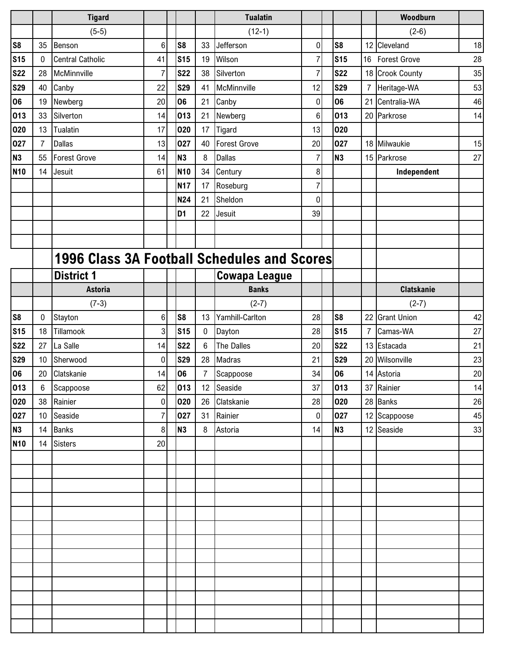|                |                | <b>Tigard</b>                               |                |                |                | <b>Tualatin</b>      |                |                |                | Woodburn            |        |
|----------------|----------------|---------------------------------------------|----------------|----------------|----------------|----------------------|----------------|----------------|----------------|---------------------|--------|
|                |                | $(5-5)$                                     |                |                |                | $(12-1)$             |                |                |                | $(2-6)$             |        |
| S <sub>8</sub> | 35             | Benson                                      | $6\phantom{a}$ | S <sub>8</sub> | 33             | Jefferson            | 0              | S <sub>8</sub> |                | 12 Cleveland        | 18     |
| <b>S15</b>     | 0              | <b>Central Catholic</b>                     | 41             | <b>S15</b>     | 19             | Wilson               | $\overline{7}$ | <b>S15</b>     |                | 16 Forest Grove     | 28     |
| <b>S22</b>     | 28             | McMinnville                                 | $\overline{7}$ | <b>S22</b>     | 38             | Silverton            | $\overline{7}$ | <b>S22</b>     | 18             | <b>Crook County</b> | 35     |
| <b>S29</b>     | 40             | Canby                                       | 22             | <b>S29</b>     | 41             | McMinnville          | 12             | <b>S29</b>     | $\overline{7}$ | Heritage-WA         | 53     |
| 06             | 19             | Newberg                                     | 20             | 06             | 21             | Canby                | 0              | 06             | 21             | Centralia-WA        | 46     |
| 013            | 33             | Silverton                                   | 14             | 013            | 21             | Newberg              | 6              | 013            |                | 20 Parkrose         | 14     |
| 020            | 13             | <b>Tualatin</b>                             | 17             | 020            | 17             | Tigard               | 13             | 020            |                |                     |        |
| 027            | $\overline{7}$ | <b>Dallas</b>                               | 13             | 027            | 40             | Forest Grove         | 20             | 027            |                | 18 Milwaukie        | 15     |
| <b>N3</b>      | 55             | <b>Forest Grove</b>                         | 14             | <b>N3</b>      | 8              | <b>Dallas</b>        | $\overline{7}$ | N <sub>3</sub> |                | 15 Parkrose         | 27     |
| <b>N10</b>     | 14             | Jesuit                                      | 61             | <b>N10</b>     | 34             | Century              | 8              |                |                | Independent         |        |
|                |                |                                             |                | <b>N17</b>     | 17             | Roseburg             | 7              |                |                |                     |        |
|                |                |                                             |                | N24            | 21             | Sheldon              | 0              |                |                |                     |        |
|                |                |                                             |                | D <sub>1</sub> | 22             | Jesuit               | 39             |                |                |                     |        |
|                |                |                                             |                |                |                |                      |                |                |                |                     |        |
|                |                |                                             |                |                |                |                      |                |                |                |                     |        |
|                |                | 1996 Class 3A Football Schedules and Scores |                |                |                |                      |                |                |                |                     |        |
|                |                | <b>District 1</b>                           |                |                |                | <b>Cowapa League</b> |                |                |                |                     |        |
|                |                | <b>Astoria</b>                              |                |                |                | <b>Banks</b>         |                |                |                | <b>Clatskanie</b>   |        |
|                |                | $(7-3)$                                     |                |                |                | $(2-7)$              |                |                |                | $(2-7)$             |        |
| S <sub>8</sub> | 0              | Stayton                                     | $\,6$          | S <sub>8</sub> | 13             | Yamhill-Carlton      | 28             | S <sub>8</sub> | 22             | <b>Grant Union</b>  | 42     |
| <b>S15</b>     | 18             | Tillamook                                   | 3              | <b>S15</b>     | $\mathbf 0$    | Dayton               | 28             | <b>S15</b>     | $\overline{7}$ | Camas-WA            | 27     |
| <b>S22</b>     | 27             | La Salle                                    | 14             | <b>S22</b>     | 6              | The Dalles           | 20             | <b>S22</b>     |                | 13 Estacada         | 21     |
| <b>S29</b>     | 10             | Sherwood                                    | 0              | <b>S29</b>     | 28             | Madras               | 21             | <b>S29</b>     | 20             | Wilsonville         | 23     |
| 06             | 20             | Clatskanie                                  | 14             | 06             | $\overline{7}$ | Scappoose            | 34             | 06             |                | 14 Astoria          | 20     |
| 013            | 6              | Scappoose                                   | 62             | 013            |                | 12 Seaside           | 37             | 013            |                | 37 Rainier          | 14     |
| 020            | 38             | Rainier                                     | $\pmb{0}$      | 020            | 26             | Clatskanie           | 28             | 020            |                | 28 Banks            | $26\,$ |
| 027            | 10             | Seaside                                     | $\overline{7}$ | 027            | 31             | Rainier              | $\overline{0}$ | 027            |                | 12 Scappoose        | 45     |
| <b>N3</b>      | 14             | <b>Banks</b>                                | $\bf 8$        | N3             | $\bf 8$        | Astoria              | 14             | <b>N3</b>      |                | 12 Seaside          | 33     |
| <b>N10</b>     | 14             | <b>Sisters</b>                              | 20             |                |                |                      |                |                |                |                     |        |
|                |                |                                             |                |                |                |                      |                |                |                |                     |        |
|                |                |                                             |                |                |                |                      |                |                |                |                     |        |
|                |                |                                             |                |                |                |                      |                |                |                |                     |        |
|                |                |                                             |                |                |                |                      |                |                |                |                     |        |
|                |                |                                             |                |                |                |                      |                |                |                |                     |        |
|                |                |                                             |                |                |                |                      |                |                |                |                     |        |
|                |                |                                             |                |                |                |                      |                |                |                |                     |        |
|                |                |                                             |                |                |                |                      |                |                |                |                     |        |
|                |                |                                             |                |                |                |                      |                |                |                |                     |        |
|                |                |                                             |                |                |                |                      |                |                |                |                     |        |
|                |                |                                             |                |                |                |                      |                |                |                |                     |        |
|                |                |                                             |                |                |                |                      |                |                |                |                     |        |
|                |                |                                             |                |                |                |                      |                |                |                |                     |        |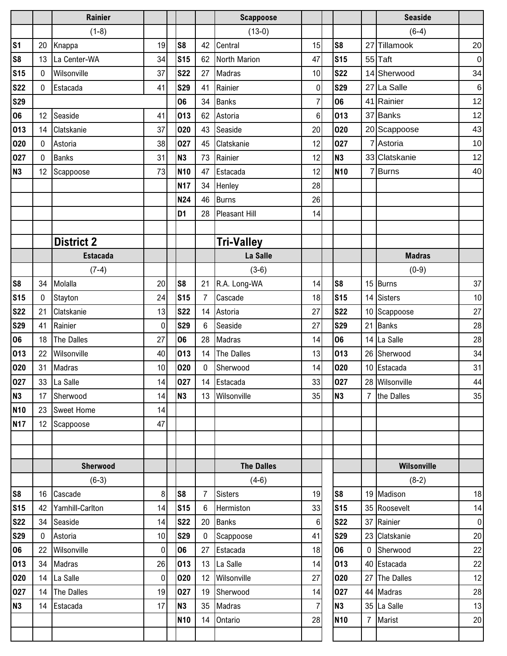|                |              | Rainier           |             |                |                  | <b>Scappoose</b>  |                |                |                | <b>Seaside</b>     |                  |
|----------------|--------------|-------------------|-------------|----------------|------------------|-------------------|----------------|----------------|----------------|--------------------|------------------|
|                |              | $(1-8)$           |             |                |                  | $(13-0)$          |                |                |                | $(6-4)$            |                  |
| S <sub>1</sub> | 20           | Knappa            | 19          | S <sub>8</sub> | 42               | Central           | 15             | S <sub>8</sub> | 27             | Tillamook          | 20               |
| S <sub>8</sub> | 13           | La Center-WA      | 34          | <b>S15</b>     | 62               | North Marion      | 47             | <b>S15</b>     |                | 55 Taft            | $\overline{0}$   |
| <b>S15</b>     | $\mathbf 0$  | Wilsonville       | 37          | <b>S22</b>     | 27               | Madras            | 10             | <b>S22</b>     |                | 14 Sherwood        | 34               |
| <b>S22</b>     | $\Omega$     | Estacada          | 41          | <b>S29</b>     | 41               | Rainier           | 0              | <b>S29</b>     |                | 27 La Salle        | $6 \overline{6}$ |
| <b>S29</b>     |              |                   |             | 06             | 34               | <b>Banks</b>      | $\overline{7}$ | 06             |                | 41 Rainier         | 12               |
| 06             | 12           | Seaside           | 41          | 013            | 62               | Astoria           | 6              | 013            |                | 37 Banks           | 12               |
| 013            | 14           | Clatskanie        | 37          | 020            | 43               | Seaside           | 20             | 020            |                | 20 Scappoose       | 43               |
| 020            | 0            | Astoria           | 38          | 027            | 45               | Clatskanie        | 12             | 027            |                | Astoria            | 10               |
| 027            | $\mathbf 0$  | <b>Banks</b>      | 31          | <b>N3</b>      | 73               | Rainier           | 12             | <b>N3</b>      |                | 33 Clatskanie      | 12               |
| N <sub>3</sub> | 12           | Scappoose         | 73          | <b>N10</b>     | 47               | Estacada          | 12             | <b>N10</b>     |                | 7Burns             | 40               |
|                |              |                   |             | <b>N17</b>     | 34               | Henley            | 28             |                |                |                    |                  |
|                |              |                   |             | N24            | 46               | <b>Burns</b>      | 26             |                |                |                    |                  |
|                |              |                   |             | D <sub>1</sub> | 28               | Pleasant Hill     | 14             |                |                |                    |                  |
|                |              |                   |             |                |                  |                   |                |                |                |                    |                  |
|                |              | <b>District 2</b> |             |                |                  | <b>Tri-Valley</b> |                |                |                |                    |                  |
|                |              | <b>Estacada</b>   |             |                |                  | La Salle          |                |                |                | <b>Madras</b>      |                  |
|                |              | $(7-4)$           |             |                |                  | $(3-6)$           |                |                |                | $(0-9)$            |                  |
| S <sub>8</sub> | 34           | Molalla           | 20          | S <sub>8</sub> | 21               | R.A. Long-WA      | 14             | S <sub>8</sub> | 15             | Burns              | 37               |
| <b>S15</b>     | $\mathbf 0$  | Stayton           | 24          | <b>S15</b>     | $\overline{7}$   | Cascade           | 18             | <b>S15</b>     | 14             | Sisters            | 10               |
| <b>S22</b>     | 21           | Clatskanie        | 13          | <b>S22</b>     | 14               | Astoria           | 27             | <b>S22</b>     | 10             | Scappoose          | 27               |
| <b>S29</b>     | 41           | Rainier           | 0           | <b>S29</b>     | $6\phantom{1}$   | Seaside           | 27             | <b>S29</b>     | 21             | <b>Banks</b>       | 28               |
| 06             | 18           | The Dalles        | 27          | 06             | 28               | Madras            | 14             | 06             | 14             | La Salle           | 28               |
| 013            | 22           | Wilsonville       | 40          | 013            | 14               | The Dalles        | 13             | 013            | 26             | Sherwood           | 34               |
| 020            | 31           | Madras            | 10          | 020            | $\mathbf 0$      | Sherwood          | 14             | 020            |                | 10 Estacada        | 31               |
| 027            |              | 33 La Salle       | 14          | 027            |                  | 14 Estacada       | 33             | 027            |                | 28 Wilsonville     | 44               |
| N3             | 17           | Sherwood          | 14          | <b>N3</b>      |                  | 13 Wilsonville    | 35             | <b>N3</b>      | $\overline{7}$ | the Dalles         | 35               |
| <b>N10</b>     | 23           | Sweet Home        | 14          |                |                  |                   |                |                |                |                    |                  |
| <b>N17</b>     | 12           | Scappoose         | 47          |                |                  |                   |                |                |                |                    |                  |
|                |              |                   |             |                |                  |                   |                |                |                |                    |                  |
|                |              |                   |             |                |                  |                   |                |                |                |                    |                  |
|                |              | Sherwood          |             |                |                  | <b>The Dalles</b> |                |                |                | <b>Wilsonville</b> |                  |
|                |              | $(6-3)$           |             |                |                  | $(4-6)$           |                |                |                | $(8-2)$            |                  |
| S <sub>8</sub> | 16           | Cascade           | 8           | S <sub>8</sub> | $\overline{7}$   | <b>Sisters</b>    | 19             | S <sub>8</sub> |                | 19 Madison         | 18               |
| <b>S15</b>     | 42           | Yamhill-Carlton   | 14          | <b>S15</b>     | $\boldsymbol{6}$ | Hermiston         | 33             | <b>S15</b>     |                | 35 Roosevelt       | 14               |
| <b>S22</b>     | 34           | Seaside           | 14          | <b>S22</b>     | 20               | <b>Banks</b>      | $6\phantom{1}$ | <b>S22</b>     |                | 37 Rainier         | $\overline{0}$   |
| <b>S29</b>     | $\mathbf{0}$ | Astoria           | 10          | <b>S29</b>     | $\mathbf 0$      | Scappoose         | 41             | <b>S29</b>     |                | 23 Clatskanie      | 20               |
| 06             | 22           | Wilsonville       | 0           | 06             | 27               | Estacada          | 18             | 06             |                | 0 Sherwood         | 22               |
| 013            | 34           | Madras            | 26          | 013            | 13               | La Salle          | 14             | 013            |                | 40 Estacada        | 22               |
| 020            | 14           | La Salle          | $\mathbf 0$ | 020            | 12               | Wilsonville       | 27             | 020            |                | 27 The Dalles      | 12               |
| 027            | 14           | The Dalles        | 19          | 027            | 19               | Sherwood          | 14             | 027            |                | 44 Madras          | 28               |
| N <sub>3</sub> | 14           | Estacada          | 17          | <b>N3</b>      | 35               | Madras            | $\overline{7}$ | <b>N3</b>      |                | 35 La Salle        | 13               |
|                |              |                   |             | <b>N10</b>     | 14               | Ontario           | 28             | <b>N10</b>     | $\overline{7}$ | Marist             | 20               |
|                |              |                   |             |                |                  |                   |                |                |                |                    |                  |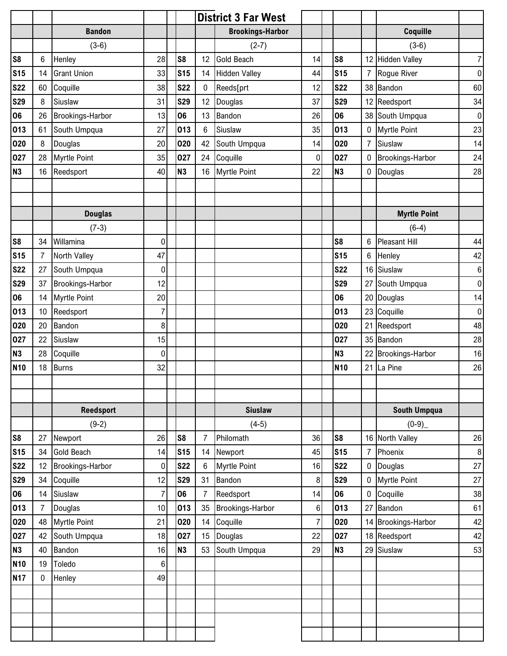|                 |                |                         |                |                |                | <b>District 3 Far West</b> |                |                |                  |                     |                |
|-----------------|----------------|-------------------------|----------------|----------------|----------------|----------------------------|----------------|----------------|------------------|---------------------|----------------|
|                 |                | <b>Bandon</b>           |                |                |                | <b>Brookings-Harbor</b>    |                |                |                  | Coquille            |                |
|                 |                | $(3-6)$                 |                |                |                | $(2-7)$                    |                |                |                  | $(3-6)$             |                |
| S <sub>8</sub>  | 6              | Henley                  | 28             | S <sub>8</sub> | 12             | <b>Gold Beach</b>          | 14             | S <sub>8</sub> |                  | 12 Hidden Valley    | $\overline{7}$ |
| <b>S15</b>      | 14             | <b>Grant Union</b>      | 33             | <b>S15</b>     | 14             | <b>Hidden Valley</b>       | 44             | <b>S15</b>     | $\overline{7}$   | Rogue River         | $\pmb{0}$      |
| <b>S22</b>      | 60             | Coquille                | 38             | <b>S22</b>     | $\mathbf 0$    | Reeds[prt                  | 12             | <b>S22</b>     |                  | 38 Bandon           | 60             |
| <b>S29</b>      | 8              | Siuslaw                 | 31             | <b>S29</b>     | 12             | Douglas                    | 37             | <b>S29</b>     | 12               | Reedsport           | 34             |
| 06              | 26             | Brookings-Harbor        | 13             | 06             | 13             | Bandon                     | 26             | 06             |                  | 38 South Umpqua     | $\pmb{0}$      |
| 013             | 61             | South Umpqua            | 27             | 013            | $\,6$          | Siuslaw                    | 35             | 013            | 0                | <b>Myrtle Point</b> | 23             |
| 020             | 8              | Douglas                 | 20             | 020            | 42             | South Umpqua               | 14             | 020            | $\overline{7}$   | Siuslaw             | 14             |
| 027             | 28             | <b>Myrtle Point</b>     | 35             | 027            | 24             | Coquille                   | 0              | 027            | $\boldsymbol{0}$ | Brookings-Harbor    | 24             |
| N <sub>3</sub>  | 16             | Reedsport               | 40             | <b>N3</b>      | 16             | <b>Myrtle Point</b>        | 22             | N <sub>3</sub> | $\boldsymbol{0}$ | Douglas             | 28             |
|                 |                |                         |                |                |                |                            |                |                |                  |                     |                |
|                 |                |                         |                |                |                |                            |                |                |                  |                     |                |
|                 |                | <b>Douglas</b>          |                |                |                |                            |                |                |                  | <b>Myrtle Point</b> |                |
|                 |                | $(7-3)$                 |                |                |                |                            |                |                |                  | $(6-4)$             |                |
| S <sub>8</sub>  | 34             | Willamina               | 0              |                |                |                            |                | S <sub>8</sub> | 6                | Pleasant Hill       | 44             |
| <b>S15</b>      | 7              | North Valley            | 47             |                |                |                            |                | <b>S15</b>     | 6                | Henley              | 42             |
| <b>S22</b>      | 27             | South Umpqua            | 0              |                |                |                            |                | <b>S22</b>     | 16               | Siuslaw             | $\,6$          |
| <b>S29</b>      | 37             | Brookings-Harbor        | 12             |                |                |                            |                | <b>S29</b>     |                  | 27 South Umpqua     | $\overline{0}$ |
| 06              | 14             | Myrtle Point            | 20             |                |                |                            |                | 06             |                  | 20 Douglas          | 14             |
| 013             | 10             | Reedsport               | $\overline{7}$ |                |                |                            |                | 013            | 23               | Coquille            | $\pmb{0}$      |
| 020             | 20             | Bandon                  | 8              |                |                |                            |                | 020            | 21               | Reedsport           | 48             |
| 027             | 22             | Siuslaw                 | 15             |                |                |                            |                | 027            |                  | 35 Bandon           | 28             |
| <b>N3</b>       | 28             | Coquille                | 0              |                |                |                            |                | N <sub>3</sub> | 22               | Brookings-Harbor    | 16             |
| N <sub>10</sub> | 18             | Burns                   | 32             |                |                |                            |                | <b>N10</b>     | 21               | La Pine             | 26             |
|                 |                |                         |                |                |                |                            |                |                |                  |                     |                |
|                 |                |                         |                |                |                |                            |                |                |                  |                     |                |
|                 |                | <b>Reedsport</b>        |                |                |                | <b>Siuslaw</b>             |                |                |                  | <b>South Umpqua</b> |                |
|                 |                | $(9-2)$                 |                |                |                | $(4-5)$                    |                |                |                  | $(0-9)$             |                |
| S <sub>8</sub>  | 27             | Newport                 | 26             | S <sub>8</sub> | 7              | Philomath                  | 36             | S <sub>8</sub> |                  | 16 North Valley     | 26             |
| <b>S15</b>      | 34             | <b>Gold Beach</b>       | 14             | <b>S15</b>     | 14             | Newport                    | 45             | <b>S15</b>     | $\overline{7}$   | Phoenix             | $\bf 8$        |
| <b>S22</b>      | 12             | <b>Brookings-Harbor</b> | $\pmb{0}$      | <b>S22</b>     | 6              | <b>Myrtle Point</b>        | 16             | <b>S22</b>     | $\pmb{0}$        | Douglas             | 27             |
| <b>S29</b>      | 34             | Coquille                | 12             | <b>S29</b>     | 31             | Bandon                     | 8              | <b>S29</b>     | $\mathbf 0$      | <b>Myrtle Point</b> | 27             |
| 06              | 14             | Siuslaw                 | $\overline{7}$ | 06             | $\overline{7}$ | Reedsport                  | 14             | 06             | $\mathbf 0$      | Coquille            | $38\,$         |
| 013             | $\overline{7}$ | Douglas                 | 10             | 013            | 35             | <b>Brookings-Harbor</b>    | 6              | 013            | 27               | Bandon              | 61             |
| 020             | 48             | <b>Myrtle Point</b>     | 21             | 020            | 14             | Coquille                   | $\overline{7}$ | 020            |                  | 14 Brookings-Harbor | 42             |
| 027             | 42             | South Umpqua            | 18             | 027            | 15             | Douglas                    | 22             | 027            |                  | 18 Reedsport        | 42             |
| <b>N3</b>       | 40             | Bandon                  | 16             | <b>N3</b>      | 53             | South Umpqua               | 29             | <b>N3</b>      | 29               | Siuslaw             | 53             |
| <b>N10</b>      | 19             | Toledo                  | 6              |                |                |                            |                |                |                  |                     |                |
| <b>N17</b>      | $\mathbf{0}$   | Henley                  | 49             |                |                |                            |                |                |                  |                     |                |
|                 |                |                         |                |                |                |                            |                |                |                  |                     |                |
|                 |                |                         |                |                |                |                            |                |                |                  |                     |                |
|                 |                |                         |                |                |                |                            |                |                |                  |                     |                |
|                 |                |                         |                |                |                |                            |                |                |                  |                     |                |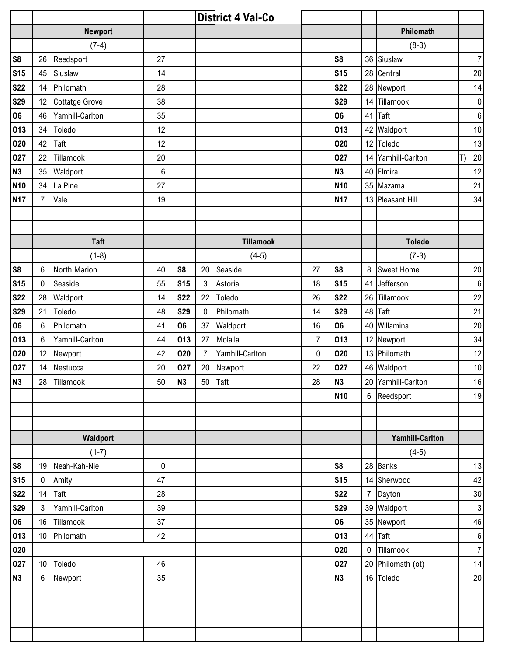|                |                 |                       |           |                |                | <b>District 4 Val-Co</b> |                |                |                |                        |                  |
|----------------|-----------------|-----------------------|-----------|----------------|----------------|--------------------------|----------------|----------------|----------------|------------------------|------------------|
|                |                 | <b>Newport</b>        |           |                |                |                          |                |                |                | Philomath              |                  |
|                |                 | $(7-4)$               |           |                |                |                          |                |                |                | $(8-3)$                |                  |
| S <sub>8</sub> | 26              | Reedsport             | 27        |                |                |                          |                | S <sub>8</sub> | 36             | Siuslaw                | $\overline{7}$   |
| <b>S15</b>     | 45              | Siuslaw               | 14        |                |                |                          |                | <b>S15</b>     | 28             | Central                | 20               |
| <b>S22</b>     | 14              | Philomath             | 28        |                |                |                          |                | <b>S22</b>     |                | 28 Newport             | 14               |
| <b>S29</b>     | 12              | <b>Cottatge Grove</b> | 38        |                |                |                          |                | <b>S29</b>     | 14             | Tillamook              | $\overline{0}$   |
| 06             | 46              | Yamhill-Carlton       | 35        |                |                |                          |                | 06             | 41             | Taft                   | $6 \overline{6}$ |
| 013            | 34              | Toledo                | 12        |                |                |                          |                | 013            | 42             | Waldport               | 10               |
| 020            | 42              | <b>Taft</b>           | 12        |                |                |                          |                | 020            | 12             | Toledo                 | 13               |
| 027            | 22              | Tillamook             | 20        |                |                |                          |                | 027            |                | 14 Yamhill-Carlton     | $20\,$<br>IT)    |
| <b>N3</b>      | 35              | Waldport              | 6         |                |                |                          |                | <b>N3</b>      | 40             | Elmira                 | 12               |
| <b>N10</b>     | 34              | La Pine               | 27        |                |                |                          |                | <b>N10</b>     |                | 35 Mazama              | 21               |
| <b>N17</b>     | $\overline{7}$  | Vale                  | 19        |                |                |                          |                | <b>N17</b>     |                | 13 Pleasant Hill       | 34               |
|                |                 |                       |           |                |                |                          |                |                |                |                        |                  |
|                |                 |                       |           |                |                |                          |                |                |                |                        |                  |
|                |                 | <b>Taft</b>           |           |                |                | <b>Tillamook</b>         |                |                |                | <b>Toledo</b>          |                  |
|                |                 | $(1-8)$               |           |                |                | $(4-5)$                  |                |                |                | $(7-3)$                |                  |
| S <sub>8</sub> | 6               | North Marion          | 40        | S <sub>8</sub> | 20             | Seaside                  | 27             | S <sub>8</sub> | 8              | <b>Sweet Home</b>      | 20               |
| <b>S15</b>     | $\mathbf 0$     | Seaside               | 55        | <b>S15</b>     | $\mathbf{3}$   | Astoria                  | 18             | <b>S15</b>     | 41             | Jefferson              | $\boldsymbol{6}$ |
| <b>S22</b>     | 28              | Waldport              | 14        | <b>S22</b>     | 22             | Toledo                   | 26             | <b>S22</b>     | 26             | Tillamook              | 22               |
| <b>S29</b>     | 21              | Toledo                | 48        | <b>S29</b>     | $\mathbf 0$    | Philomath                | 14             | <b>S29</b>     | 48             | Taft                   | 21               |
| 06             | 6               | Philomath             | 41        | 06             | 37             | Waldport                 | 16             | 06             |                | 40 Willamina           | 20               |
| 013            | 6               | Yamhill-Carlton       | 44        | 013            | 27             | Molalla                  | $\overline{7}$ | 013            | 12             | Newport                | 34               |
| 020            | 12              | Newport               | 42        | 020            | $\overline{7}$ | Yamhill-Carlton          | $\pmb{0}$      | 020            |                | 13 Philomath           | 12               |
| 027            | 14              | Nestucca              | 20        | 027            | 20             | Newport                  | 22             | 027            |                | 46 Waldport            | 10               |
| N <sub>3</sub> | 28              | Tillamook             | 50        | N3             |                | 50 Taft                  | 28             | N <sub>3</sub> |                | 20 Yamhill-Carlton     | $16\,$           |
|                |                 |                       |           |                |                |                          |                | <b>N10</b>     |                | 6 Reedsport            | 19               |
|                |                 |                       |           |                |                |                          |                |                |                |                        |                  |
|                |                 |                       |           |                |                |                          |                |                |                |                        |                  |
|                |                 | Waldport              |           |                |                |                          |                |                |                | <b>Yamhill-Carlton</b> |                  |
|                |                 | $(1-7)$               |           |                |                |                          |                |                |                | $(4-5)$                |                  |
| S <sub>8</sub> | 19              | Neah-Kah-Nie          | $\pmb{0}$ |                |                |                          |                | S <sub>8</sub> |                | 28 Banks               | 13               |
| <b>S15</b>     | $\bf{0}$        | Amity                 | 47        |                |                |                          |                | <b>S15</b>     |                | 14 Sherwood            | 42               |
| <b>S22</b>     | 14              | Taft                  | 28        |                |                |                          |                | <b>S22</b>     | $\overline{7}$ | Dayton                 | 30               |
| <b>S29</b>     | $\mathbf{3}$    | Yamhill-Carlton       | 39        |                |                |                          |                | <b>S29</b>     |                | 39 Waldport            | 3 <sup>1</sup>   |
| 06             | 16              | Tillamook             | 37        |                |                |                          |                | 06             |                | 35 Newport             | 46               |
| 013            | 10 <sup>°</sup> | Philomath             | 42        |                |                |                          |                | 013            |                | 44 Taft                | $6 \mid$         |
| 020            |                 |                       |           |                |                |                          |                | 020            | $\mathbf 0$    | Tillamook              | $\overline{7}$   |
| 027            | 10              | Toledo                | 46        |                |                |                          |                | 027            |                | 20 Philomath (ot)      | 14               |
| N <sub>3</sub> | $6\phantom{a}$  | Newport               | 35        |                |                |                          |                | <b>N3</b>      |                | 16 Toledo              | 20               |
|                |                 |                       |           |                |                |                          |                |                |                |                        |                  |
|                |                 |                       |           |                |                |                          |                |                |                |                        |                  |
|                |                 |                       |           |                |                |                          |                |                |                |                        |                  |
|                |                 |                       |           |                |                |                          |                |                |                |                        |                  |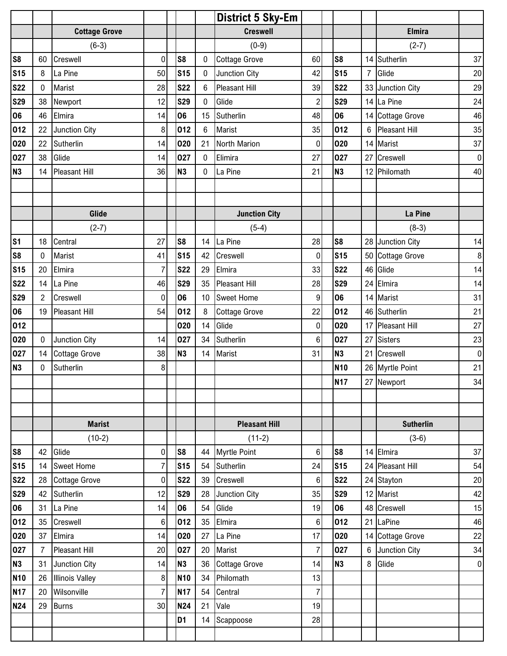|                |                |                        |                |                |                 | <b>District 5 Sky-Em</b> |                  |                |                  |                      |                |
|----------------|----------------|------------------------|----------------|----------------|-----------------|--------------------------|------------------|----------------|------------------|----------------------|----------------|
|                |                | <b>Cottage Grove</b>   |                |                |                 | <b>Creswell</b>          |                  |                |                  | <b>Elmira</b>        |                |
|                |                | $(6-3)$                |                |                |                 | $(0-9)$                  |                  |                |                  | $(2-7)$              |                |
| S <sub>8</sub> | 60             | Creswell               | $\pmb{0}$      | S <sub>8</sub> | $\mathbf 0$     | <b>Cottage Grove</b>     | 60               | S <sub>8</sub> |                  | 14 Sutherlin         | 37             |
| <b>S15</b>     | 8              | La Pine                | 50             | <b>S15</b>     | 0               | Junction City            | 42               | <b>S15</b>     | $\overline{7}$   | Glide                | 20             |
| <b>S22</b>     | $\mathbf 0$    | Marist                 | 28             | <b>S22</b>     | $6\phantom{1}$  | Pleasant Hill            | 39               | <b>S22</b>     |                  | 33 Junction City     | 29             |
| <b>S29</b>     | 38             | Newport                | 12             | <b>S29</b>     | 0               | Glide                    | $\overline{c}$   | <b>S29</b>     |                  | 14 La Pine           | 24             |
| 06             | 46             | Elmira                 | 14             | 06             | 15              | Sutherlin                | 48               | 06             |                  | 14 Cottage Grove     | 46             |
| 012            | 22             | Junction City          | 8              | 012            | $6\phantom{1}$  | Marist                   | 35               | 012            | 6                | <b>Pleasant Hill</b> | 35             |
| 020            | 22             | Sutherlin              | 14             | 020            | 21              | North Marion             | $\pmb{0}$        | 020            |                  | 14 Marist            | 37             |
| 027            | 38             | Glide                  | 14             | 027            | $\mathbf 0$     | Elimira                  | 27               | 027            | 27               | Creswell             | $\overline{0}$ |
| <b>N3</b>      | 14             | <b>Pleasant Hill</b>   | 36             | <b>N3</b>      | $\mathbf 0$     | La Pine                  | 21               | N <sub>3</sub> |                  | 12 Philomath         | 40             |
|                |                |                        |                |                |                 |                          |                  |                |                  |                      |                |
|                |                |                        |                |                |                 |                          |                  |                |                  |                      |                |
|                |                | Glide                  |                |                |                 | <b>Junction City</b>     |                  |                |                  | La Pine              |                |
|                |                | $(2-7)$                |                |                |                 | $(5-4)$                  |                  |                |                  | $(8-3)$              |                |
| S <sub>1</sub> | 18             | Central                | 27             | S <sub>8</sub> | 14              | La Pine                  | 28               | S <sub>8</sub> |                  | 28 Junction City     | 14             |
| S <sub>8</sub> | 0              | Marist                 | 41             | <b>S15</b>     | 42              | Creswell                 | 0                | <b>S15</b>     |                  | 50 Cottage Grove     | $\bf 8$        |
| <b>S15</b>     | 20             | Elmira                 | 7              | <b>S22</b>     | 29              | Elmira                   | 33               | <b>S22</b>     |                  | 46 Glide             | 14             |
| <b>S22</b>     | 14             | La Pine                | 46             | <b>S29</b>     | 35              | <b>Pleasant Hill</b>     | 28               | <b>S29</b>     |                  | 24 Elmira            | 14             |
| <b>S29</b>     | $\overline{2}$ | Creswell               | $\pmb{0}$      | 06             | 10 <sup>°</sup> | <b>Sweet Home</b>        | $\boldsymbol{9}$ | 06             |                  | 14 Marist            | 31             |
| 06             | 19             | <b>Pleasant Hill</b>   | 54             | 012            | 8               | <b>Cottage Grove</b>     | 22               | 012            |                  | 46 Sutherlin         | 21             |
| 012            |                |                        |                | 020            | 14              | Glide                    | $\mathbf 0$      | 020            |                  | 17 Pleasant Hill     | 27             |
| 020            | $\mathbf 0$    | Junction City          | 14             | 027            | 34              | Sutherlin                | 6                | 027            | 27               | <b>Sisters</b>       | 23             |
| 027            | 14             | <b>Cottage Grove</b>   | 38             | N <sub>3</sub> | 14              | <b>Marist</b>            | 31               | N <sub>3</sub> |                  | 21 Creswell          | $\overline{0}$ |
| N <sub>3</sub> | $\mathbf 0$    | Sutherlin              | 8              |                |                 |                          |                  | <b>N10</b>     |                  | 26 Myrtle Point      | 21             |
|                |                |                        |                |                |                 |                          |                  | <b>N17</b>     |                  | 27 Newport           | 34             |
|                |                |                        |                |                |                 |                          |                  |                |                  |                      |                |
|                |                |                        |                |                |                 |                          |                  |                |                  |                      |                |
|                |                | <b>Marist</b>          |                |                |                 | <b>Pleasant Hill</b>     |                  |                |                  | <b>Sutherlin</b>     |                |
|                |                | $(10-2)$               |                |                |                 | $(11-2)$                 |                  |                |                  | $(3-6)$              |                |
| S <sub>8</sub> | 42             | Glide                  | $\overline{0}$ | S <sub>8</sub> | 44              | <b>Myrtle Point</b>      | $\,6\,$          | S <sub>8</sub> |                  | 14 Elmira            | 37             |
| <b>S15</b>     | 14             | <b>Sweet Home</b>      | $\overline{7}$ | <b>S15</b>     | 54              | Sutherlin                | 24               | <b>S15</b>     | 24               | Pleasant Hill        | 54             |
| <b>S22</b>     | 28             | <b>Cottage Grove</b>   | 0              | <b>S22</b>     | 39              | Creswell                 | 6                | <b>S22</b>     |                  | 24 Stayton           | 20             |
| <b>S29</b>     | 42             | Sutherlin              | 12             | <b>S29</b>     | 28              | Junction City            | 35               | <b>S29</b>     |                  | 12 Marist            | 42             |
| 06             | 31             | La Pine                | 14             | 06             | 54              | Glide                    | 19               | 06             |                  | 48 Creswell          | 15             |
| 012            | 35             | Creswell               | 6              | 012            | 35              | Elmira                   | $\,6\,$          | 012            | 21               | LaPine               | 46             |
| 020            | 37             | Elmira                 | 14             | 020            | 27              | La Pine                  | 17               | 020            |                  | 14 Cottage Grove     | 22             |
| 027            | $\overline{7}$ | Pleasant Hill          | 20             | 027            | 20              | Marist                   | $\overline{7}$   | 027            | $\boldsymbol{6}$ | Junction City        | 34             |
| N3             | 31             | Junction City          | 14             | <b>N3</b>      | 36              | <b>Cottage Grove</b>     | 14               | N <sub>3</sub> | 8                | Glide                | $\overline{0}$ |
| <b>N10</b>     | 26             | <b>Illinois Valley</b> | 8              | <b>N10</b>     | 34              | Philomath                | 13               |                |                  |                      |                |
| <b>N17</b>     | 20             | Wilsonville            | $\overline{7}$ | <b>N17</b>     | 54              | Central                  | $\overline{7}$   |                |                  |                      |                |
| <b>N24</b>     | 29             | <b>Burns</b>           | 30             | <b>N24</b>     | 21              | Vale                     | 19               |                |                  |                      |                |
|                |                |                        |                | D <sub>1</sub> | 14              | Scappoose                | 28               |                |                  |                      |                |
|                |                |                        |                |                |                 |                          |                  |                |                  |                      |                |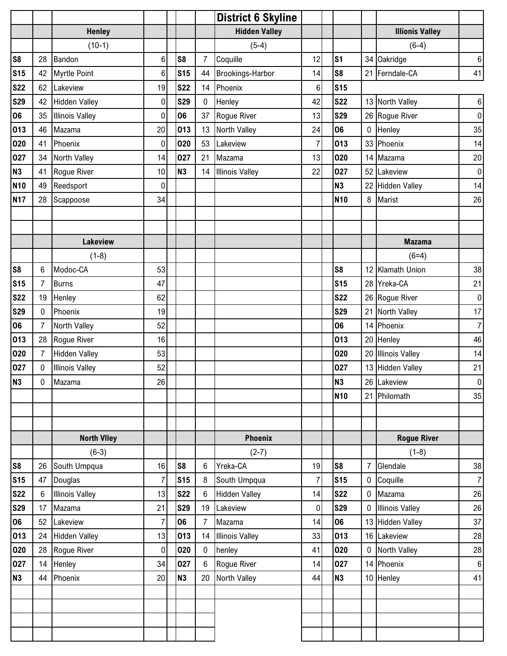|                |                |                        |                |                |                | <b>District 6 Skyline</b> |                |                |                |                        |                |
|----------------|----------------|------------------------|----------------|----------------|----------------|---------------------------|----------------|----------------|----------------|------------------------|----------------|
|                |                | <b>Henley</b>          |                |                |                | <b>Hidden Valley</b>      |                |                |                | <b>Illionis Valley</b> |                |
|                |                | $(10-1)$               |                |                |                | $(5-4)$                   |                |                |                | $(6-4)$                |                |
| S <sub>8</sub> | 28             | Bandon                 | $\,6$          | S <sub>8</sub> | $\overline{7}$ | Coquille                  | 12             | S <sub>1</sub> |                | 34 Oakridge            | $6 \mid$       |
| <b>S15</b>     | 42             | <b>Myrtle Point</b>    | 6              | <b>S15</b>     | 44             | <b>Brookings-Harbor</b>   | 14             | S <sub>8</sub> | 21             | Ferndale-CA            | 41             |
| <b>S22</b>     | 62             | Lakeview               | 19             | <b>S22</b>     | 14             | Phoenix                   | 6              | <b>S15</b>     |                |                        |                |
| <b>S29</b>     | 42             | <b>Hidden Valley</b>   | $\mathbf 0$    | <b>S29</b>     | $\pmb{0}$      | Henley                    | 42             | <b>S22</b>     |                | 13 North Valley        | $6 \mid$       |
| 06             | 35             | <b>Illinois Valley</b> | $\mathbf 0$    | 06             | 37             | Rogue River               | 13             | <b>S29</b>     |                | 26 Rogue River         | $\overline{0}$ |
| 013            | 46             | Mazama                 | 20             | 013            | 13             | North Valley              | 24             | 06             | $\pmb{0}$      | Henley                 | 35             |
| 020            | 41             | Phoenix                | $\pmb{0}$      | 020            | 53             | Lakeview                  | $\overline{7}$ | 013            | 33             | Phoenix                | 14             |
| 027            | 34             | North Valley           | 14             | 027            | 21             | Mazama                    | 13             | 020            | 14             | Mazama                 | $20\,$         |
| <b>N3</b>      | 41             | Rogue River            | 10             | <b>N3</b>      | 14             | <b>Illinois Valley</b>    | 22             | 027            | 52             | Lakeview               | $\overline{0}$ |
| <b>N10</b>     | 49             | Reedsport              | $\mathbf 0$    |                |                |                           |                | <b>N3</b>      |                | 22 Hidden Valley       | 14             |
| <b>N17</b>     | 28             | Scappoose              | 34             |                |                |                           |                | <b>N10</b>     | 8              | Marist                 | 26             |
|                |                |                        |                |                |                |                           |                |                |                |                        |                |
|                |                |                        |                |                |                |                           |                |                |                |                        |                |
|                |                | <b>Lakeview</b>        |                |                |                |                           |                |                |                | <b>Mazama</b>          |                |
|                |                | $(1-8)$                |                |                |                |                           |                |                |                | $(6=4)$                |                |
| S <sub>8</sub> | 6              | Modoc-CA               | 53             |                |                |                           |                | S <sub>8</sub> |                | 12 Klamath Union       | 38             |
| <b>S15</b>     | $\overline{7}$ | <b>Burns</b>           | 47             |                |                |                           |                | <b>S15</b>     |                | 28 Yreka-CA            | 21             |
| <b>S22</b>     | 19             | Henley                 | 62             |                |                |                           |                | <b>S22</b>     |                | 26 Rogue River         | $\overline{0}$ |
| <b>S29</b>     | 0              | Phoenix                | 19             |                |                |                           |                | <b>S29</b>     | 21             | North Valley           | 17             |
| 06             | $\overline{7}$ | North Valley           | 52             |                |                |                           |                | 06             | 14             | Phoenix                | 7              |
| 013            | 28             | Rogue River            | 16             |                |                |                           |                | 013            |                | 20 Henley              | 46             |
| 020            | $\overline{7}$ | <b>Hidden Valley</b>   | 53             |                |                |                           |                | 020            |                | 20 Illinois Valley     | 14             |
| 027            | $\mathbf 0$    | <b>Illinois Valley</b> | 52             |                |                |                           |                | 027            |                | 13 Hidden Valley       | 21             |
| <b>N3</b>      | $\pmb{0}$      | Mazama                 | 26             |                |                |                           |                | N <sub>3</sub> |                | 26 Lakeview            | $\overline{0}$ |
|                |                |                        |                |                |                |                           |                | <b>N10</b>     | 21             | Philomath              | 35             |
|                |                |                        |                |                |                |                           |                |                |                |                        |                |
|                |                |                        |                |                |                |                           |                |                |                |                        |                |
|                |                | <b>North Viley</b>     |                |                |                | <b>Phoenix</b>            |                |                |                | <b>Rogue River</b>     |                |
|                |                | $(6-3)$                |                |                |                | $(2-7)$                   |                |                |                | $(1-8)$                |                |
| S <sub>8</sub> | 26             | South Umpqua           | 16             | S <sub>8</sub> | $6\phantom{1}$ | Yreka-CA                  | 19             | S <sub>8</sub> | $\overline{7}$ | Glendale               | 38             |
| <b>S15</b>     | 47             | Douglas                | $\overline{7}$ | <b>S15</b>     | 8              | South Umpqua              | $\overline{7}$ | <b>S15</b>     | $\mathbf 0$    | Coquille               | 7              |
| <b>S22</b>     | $6\phantom{.}$ | <b>Illinois Valley</b> | 13             | <b>S22</b>     | 6              | <b>Hidden Valley</b>      | 14             | <b>S22</b>     | $\mathbf 0$    | Mazama                 | 26             |
| <b>S29</b>     | 17             | Mazama                 | 21             | <b>S29</b>     | 19             | Lakeview                  | $\mathbf 0$    | <b>S29</b>     | $\mathbf{0}$   | <b>Illinois Valley</b> | 26             |
| 06             | 52             | Lakeview               | 7              | 06             | $\overline{7}$ | Mazama                    | 14             | 06             | 13             | <b>Hidden Valley</b>   | 37             |
| 013            | 24             | <b>Hidden Valley</b>   | 13             | 013            | 14             | <b>Illinois Valley</b>    | 33             | 013            |                | 16 Lakeview            | 28             |
| 020            | 28             | Rogue River            | $\pmb{0}$      | 020            | $\bf{0}$       | henley                    | 41             | 020            | $\mathbf 0$    | North Valley           | 28             |
| 027            | 14             | Henley                 | 34             | 027            | 6              | Rogue River               | 14             | 027            | 14             | Phoenix                | $6 \mid$       |
| N3             | 44             | Phoenix                | 20             | <b>N3</b>      | 20             | North Valley              | 44             | <b>N3</b>      |                | 10 Henley              | 41             |
|                |                |                        |                |                |                |                           |                |                |                |                        |                |
|                |                |                        |                |                |                |                           |                |                |                |                        |                |
|                |                |                        |                |                |                |                           |                |                |                |                        |                |
|                |                |                        |                |                |                |                           |                |                |                |                        |                |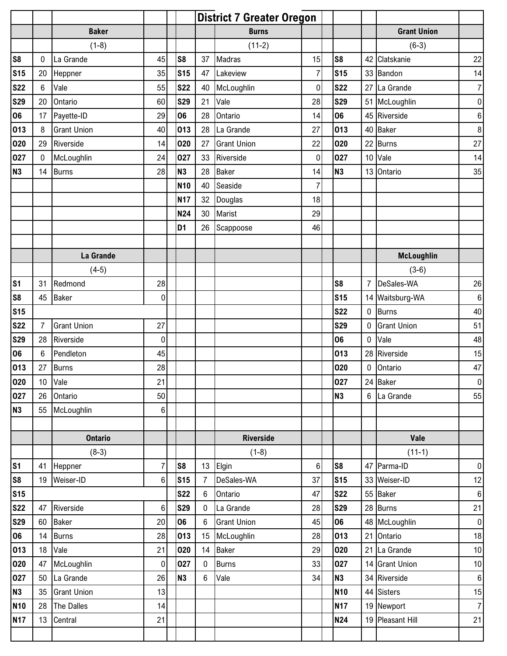|                |                 |                    |                | <b>District 7 Greater Oregon</b> |                  |                    |                  |                 |                |                    |                  |
|----------------|-----------------|--------------------|----------------|----------------------------------|------------------|--------------------|------------------|-----------------|----------------|--------------------|------------------|
|                |                 | <b>Baker</b>       |                |                                  |                  | <b>Burns</b>       |                  |                 |                | <b>Grant Union</b> |                  |
|                |                 | $(1-8)$            |                |                                  |                  | $(11-2)$           |                  |                 |                | $(6-3)$            |                  |
| S <sub>8</sub> | $\pmb{0}$       | La Grande          | 45             | S <sub>8</sub>                   | 37               | Madras             | 15               | S <sub>8</sub>  |                | 42 Clatskanie      | 22               |
| <b>S15</b>     | 20              | Heppner            | 35             | <b>S15</b>                       | 47               | Lakeview           | $\overline{7}$   | <b>S15</b>      |                | 33 Bandon          | 14               |
| <b>S22</b>     | $6\phantom{1}$  | Vale               | 55             | <b>S22</b>                       | 40               | McLoughlin         | 0                | <b>S22</b>      |                | 27 La Grande       | $\boldsymbol{7}$ |
| <b>S29</b>     | 20              | Ontario            | 60             | <b>S29</b>                       | 21               | Vale               | 28               | <b>S29</b>      |                | 51 McLoughlin      | $\pmb{0}$        |
| 06             | 17              | Payette-ID         | 29             | 06                               | 28               | Ontario            | 14               | 06              |                | 45 Riverside       | $\,6$            |
| 013            | 8               | <b>Grant Union</b> | 40             | 013                              | 28               | La Grande          | 27               | 013             |                | 40 Baker           | 8                |
| 020            | 29              | Riverside          | 14             | 020                              | 27               | <b>Grant Union</b> | 22               | 020             |                | 22 Burns           | 27               |
| 027            | $\pmb{0}$       | McLoughlin         | 24             | 027                              | 33               | Riverside          | $\boldsymbol{0}$ | 027             |                | 10 Vale            | 14               |
| N <sub>3</sub> | 14              | <b>Burns</b>       | 28             | <b>N3</b>                        | 28               | <b>Baker</b>       | 14               | <b>N3</b>       |                | 13 Ontario         | 35               |
|                |                 |                    |                | <b>N10</b>                       | 40               | Seaside            | $\overline{7}$   |                 |                |                    |                  |
|                |                 |                    |                | <b>N17</b>                       | 32               | Douglas            | 18               |                 |                |                    |                  |
|                |                 |                    |                | N24                              | 30               | Marist             | 29               |                 |                |                    |                  |
|                |                 |                    |                | D <sub>1</sub>                   | 26               | Scappoose          | 46               |                 |                |                    |                  |
|                |                 |                    |                |                                  |                  |                    |                  |                 |                |                    |                  |
|                |                 | La Grande          |                |                                  |                  |                    |                  |                 |                | <b>McLoughlin</b>  |                  |
|                |                 | $(4-5)$            |                |                                  |                  |                    |                  |                 |                | $(3-6)$            |                  |
| S <sub>1</sub> | 31              | Redmond            | 28             |                                  |                  |                    |                  | S <sub>8</sub>  | $\overline{7}$ | DeSales-WA         | 26               |
| S <sub>8</sub> | 45              | <b>Baker</b>       | $\overline{0}$ |                                  |                  |                    |                  | <b>S15</b>      |                | 14 Waitsburg-WA    | 6                |
| <b>S15</b>     |                 |                    |                |                                  |                  |                    |                  | <b>S22</b>      | 0              | Burns              | 40               |
| <b>S22</b>     | $\overline{7}$  | <b>Grant Union</b> | 27             |                                  |                  |                    |                  | <b>S29</b>      | $\mathbf{0}$   | <b>Grant Union</b> | 51               |
| <b>S29</b>     | 28              | Riverside          | 0              |                                  |                  |                    |                  | 06              | 0              | Vale               | 48               |
| 06             | 6               | Pendleton          | 45             |                                  |                  |                    |                  | 013             |                | 28 Riverside       | 15               |
| 013            | 27              | <b>Burns</b>       | 28             |                                  |                  |                    |                  | 020             | $\mathbf 0$    | Ontario            | 47               |
| 020            | 10 <sub>1</sub> | Vale               | 21             |                                  |                  |                    |                  | 027             |                | 24 Baker           | $\pmb{0}$        |
| 027            | 26              | Ontario            | 50             |                                  |                  |                    |                  | N3              | $6\phantom{a}$ | La Grande          | 55               |
| N <sub>3</sub> | 55              | McLoughlin         | 6 <sup>1</sup> |                                  |                  |                    |                  |                 |                |                    |                  |
|                |                 |                    |                |                                  |                  |                    |                  |                 |                |                    |                  |
|                |                 | <b>Ontario</b>     |                |                                  |                  | <b>Riverside</b>   |                  |                 |                | Vale               |                  |
|                |                 | $(8-3)$            |                |                                  |                  | $(1-8)$            |                  |                 |                | $(11-1)$           |                  |
| S <sub>1</sub> | 41              | Heppner            | $\overline{7}$ | S <sub>8</sub>                   | 13               | Elgin              | $\,6$            | S8              |                | 47 Parma-ID        | $\pmb{0}$        |
| S <sub>8</sub> | 19              | Weiser-ID          | 6              | <b>S15</b>                       | $\overline{7}$   | DeSales-WA         | 37               | <b>S15</b>      |                | 33 Weiser-ID       | 12               |
| <b>S15</b>     |                 |                    |                | <b>S22</b>                       | $\boldsymbol{6}$ | Ontario            | 47               | <b>S22</b>      |                | 55 Baker           | $\boldsymbol{6}$ |
| <b>S22</b>     | 47              | Riverside          | $\,6$          | <b>S29</b>                       | $\mathbf 0$      | La Grande          | 28               | <b>S29</b>      |                | 28 Burns           | 21               |
| <b>S29</b>     | 60              | <b>Baker</b>       | 20             | 06                               | $6\phantom{a}$   | <b>Grant Union</b> | 45               | 06              |                | 48 McLoughlin      | $\pmb{0}$        |
| 06             | 14              | <b>Burns</b>       | 28             | 013                              | 15               | McLoughlin         | 28               | 013             |                | 21 Ontario         | 18               |
| 013            | 18              | Vale               | 21             | 020                              | 14               | <b>Baker</b>       | 29               | 020             |                | 21 La Grande       | 10               |
| 020            | 47              | McLoughlin         | $\pmb{0}$      | 027                              | $\mathbf 0$      | <b>Burns</b>       | 33               | 027             |                | 14 Grant Union     | 10               |
| 027            | 50              | La Grande          | 26             | <b>N3</b>                        | $\boldsymbol{6}$ | Vale               | 34               | <b>N3</b>       |                | 34 Riverside       | $\,6\,$          |
| <b>N3</b>      | 35              | <b>Grant Union</b> | 13             |                                  |                  |                    |                  | N <sub>10</sub> |                | 44 Sisters         | 15               |
| <b>N10</b>     | 28              | The Dalles         | 14             |                                  |                  |                    |                  | <b>N17</b>      |                | 19 Newport         | $\boldsymbol{7}$ |
| <b>N17</b>     | 13              | Central            | 21             |                                  |                  |                    |                  | N24             |                | 19 Pleasant Hill   | 21               |
|                |                 |                    |                |                                  |                  |                    |                  |                 |                |                    |                  |